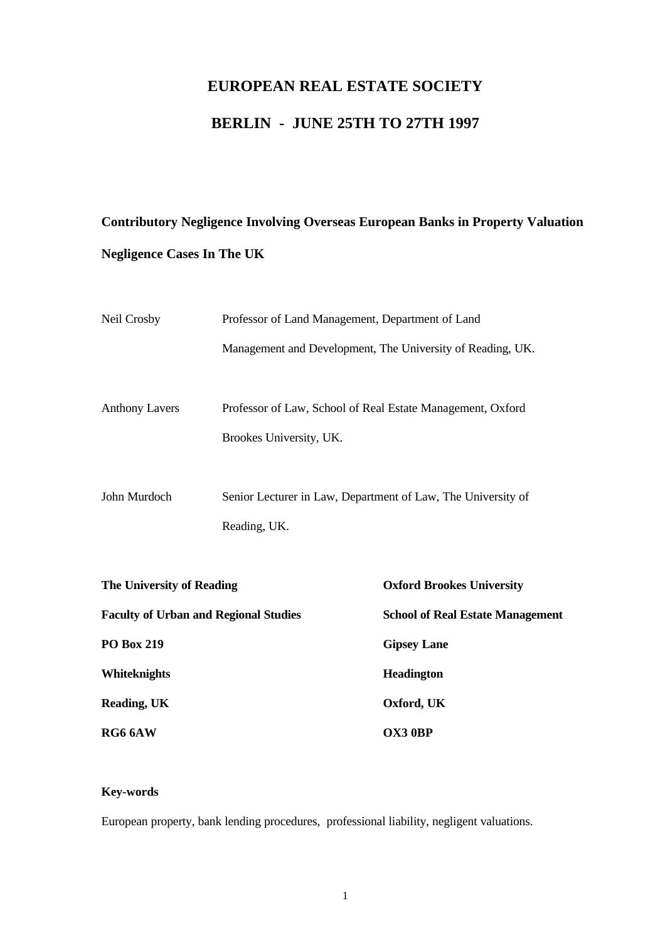# **EUROPEAN REAL ESTATE SOCIETY BERLIN - JUNE 25TH TO 27TH 1997**

# **Contributory Negligence Involving Overseas European Banks in Property Valuation Negligence Cases In The UK**

| Neil Crosby                                  | Professor of Land Management, Department of Land |                                                              |  |  |  |  |  |
|----------------------------------------------|--------------------------------------------------|--------------------------------------------------------------|--|--|--|--|--|
|                                              |                                                  | Management and Development, The University of Reading, UK.   |  |  |  |  |  |
| <b>Anthony Lavers</b>                        |                                                  | Professor of Law, School of Real Estate Management, Oxford   |  |  |  |  |  |
|                                              | Brookes University, UK.                          |                                                              |  |  |  |  |  |
| John Murdoch                                 | Reading, UK.                                     | Senior Lecturer in Law, Department of Law, The University of |  |  |  |  |  |
| <b>The University of Reading</b>             |                                                  | <b>Oxford Brookes University</b>                             |  |  |  |  |  |
| <b>Faculty of Urban and Regional Studies</b> |                                                  | <b>School of Real Estate Management</b>                      |  |  |  |  |  |
| <b>PO Box 219</b>                            |                                                  | <b>Gipsey Lane</b>                                           |  |  |  |  |  |
| Whiteknights                                 |                                                  | <b>Headington</b>                                            |  |  |  |  |  |
| <b>Reading, UK</b>                           |                                                  | Oxford, UK                                                   |  |  |  |  |  |

**RG6 6AW OX3 0BP**

# **Key-words**

European property, bank lending procedures, professional liability, negligent valuations.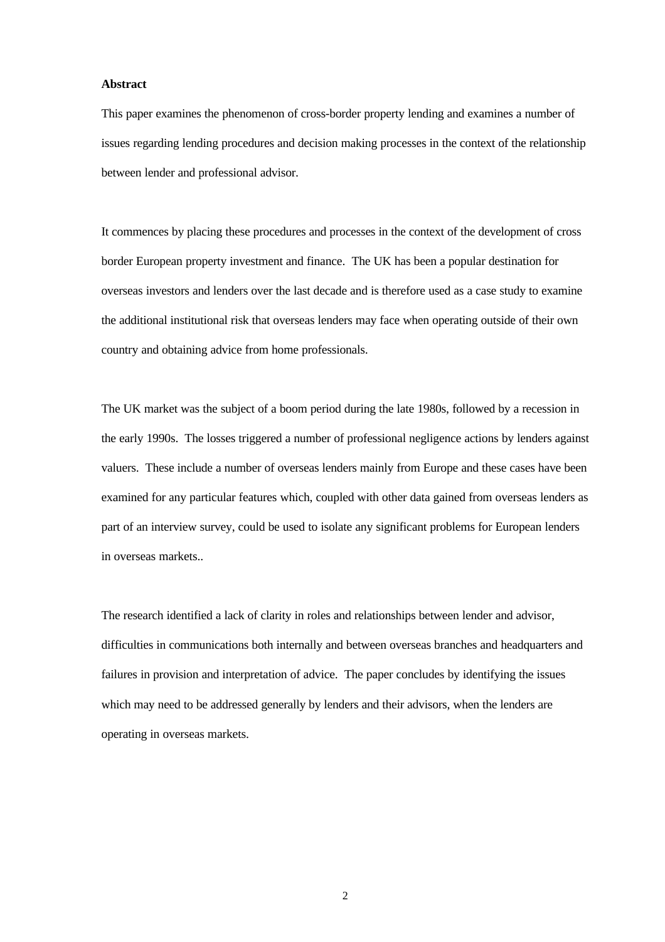#### **Abstract**

This paper examines the phenomenon of cross-border property lending and examines a number of issues regarding lending procedures and decision making processes in the context of the relationship between lender and professional advisor.

It commences by placing these procedures and processes in the context of the development of cross border European property investment and finance. The UK has been a popular destination for overseas investors and lenders over the last decade and is therefore used as a case study to examine the additional institutional risk that overseas lenders may face when operating outside of their own country and obtaining advice from home professionals.

The UK market was the subject of a boom period during the late 1980s, followed by a recession in the early 1990s. The losses triggered a number of professional negligence actions by lenders against valuers. These include a number of overseas lenders mainly from Europe and these cases have been examined for any particular features which, coupled with other data gained from overseas lenders as part of an interview survey, could be used to isolate any significant problems for European lenders in overseas markets..

The research identified a lack of clarity in roles and relationships between lender and advisor, difficulties in communications both internally and between overseas branches and headquarters and failures in provision and interpretation of advice. The paper concludes by identifying the issues which may need to be addressed generally by lenders and their advisors, when the lenders are operating in overseas markets.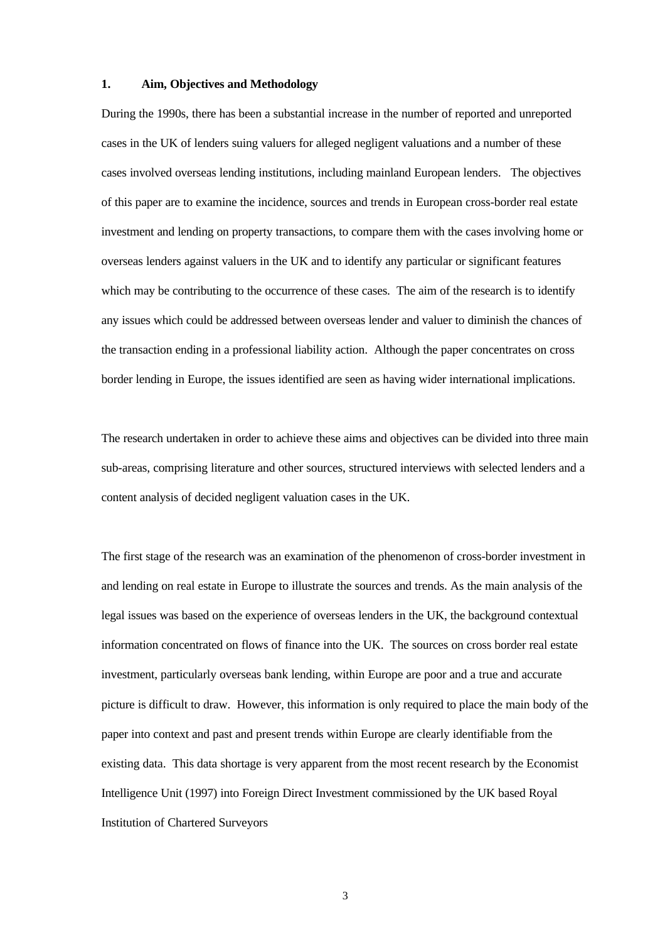#### **1. Aim, Objectives and Methodology**

During the 1990s, there has been a substantial increase in the number of reported and unreported cases in the UK of lenders suing valuers for alleged negligent valuations and a number of these cases involved overseas lending institutions, including mainland European lenders. The objectives of this paper are to examine the incidence, sources and trends in European cross-border real estate investment and lending on property transactions, to compare them with the cases involving home or overseas lenders against valuers in the UK and to identify any particular or significant features which may be contributing to the occurrence of these cases. The aim of the research is to identify any issues which could be addressed between overseas lender and valuer to diminish the chances of the transaction ending in a professional liability action. Although the paper concentrates on cross border lending in Europe, the issues identified are seen as having wider international implications.

The research undertaken in order to achieve these aims and objectives can be divided into three main sub-areas, comprising literature and other sources, structured interviews with selected lenders and a content analysis of decided negligent valuation cases in the UK.

The first stage of the research was an examination of the phenomenon of cross-border investment in and lending on real estate in Europe to illustrate the sources and trends. As the main analysis of the legal issues was based on the experience of overseas lenders in the UK, the background contextual information concentrated on flows of finance into the UK. The sources on cross border real estate investment, particularly overseas bank lending, within Europe are poor and a true and accurate picture is difficult to draw. However, this information is only required to place the main body of the paper into context and past and present trends within Europe are clearly identifiable from the existing data. This data shortage is very apparent from the most recent research by the Economist Intelligence Unit (1997) into Foreign Direct Investment commissioned by the UK based Royal Institution of Chartered Surveyors

3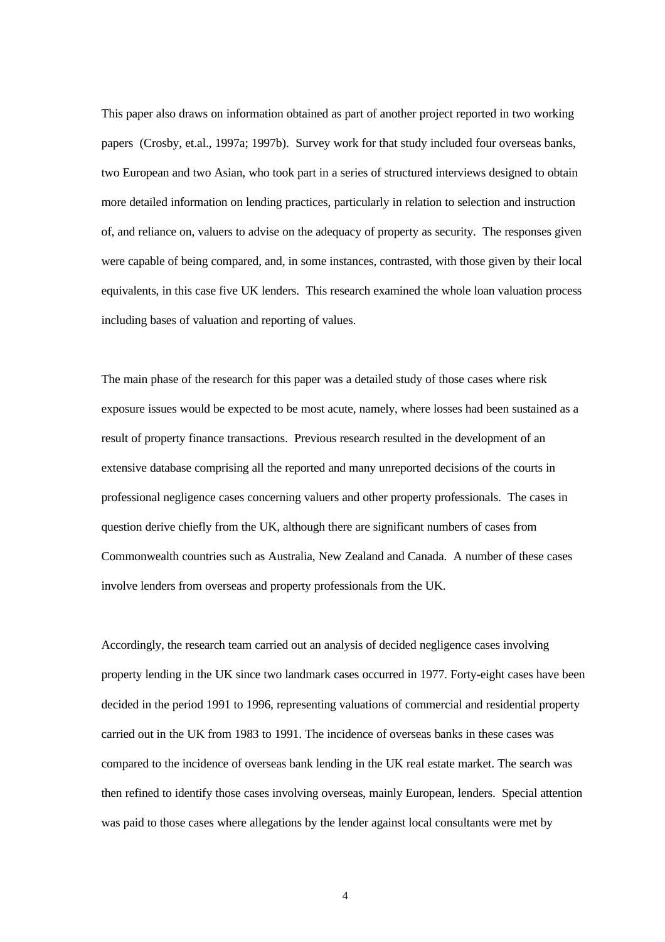This paper also draws on information obtained as part of another project reported in two working papers (Crosby, et.al., 1997a; 1997b). Survey work for that study included four overseas banks, two European and two Asian, who took part in a series of structured interviews designed to obtain more detailed information on lending practices, particularly in relation to selection and instruction of, and reliance on, valuers to advise on the adequacy of property as security. The responses given were capable of being compared, and, in some instances, contrasted, with those given by their local equivalents, in this case five UK lenders. This research examined the whole loan valuation process including bases of valuation and reporting of values.

The main phase of the research for this paper was a detailed study of those cases where risk exposure issues would be expected to be most acute, namely, where losses had been sustained as a result of property finance transactions. Previous research resulted in the development of an extensive database comprising all the reported and many unreported decisions of the courts in professional negligence cases concerning valuers and other property professionals. The cases in question derive chiefly from the UK, although there are significant numbers of cases from Commonwealth countries such as Australia, New Zealand and Canada. A number of these cases involve lenders from overseas and property professionals from the UK.

Accordingly, the research team carried out an analysis of decided negligence cases involving property lending in the UK since two landmark cases occurred in 1977. Forty-eight cases have been decided in the period 1991 to 1996, representing valuations of commercial and residential property carried out in the UK from 1983 to 1991. The incidence of overseas banks in these cases was compared to the incidence of overseas bank lending in the UK real estate market. The search was then refined to identify those cases involving overseas, mainly European, lenders. Special attention was paid to those cases where allegations by the lender against local consultants were met by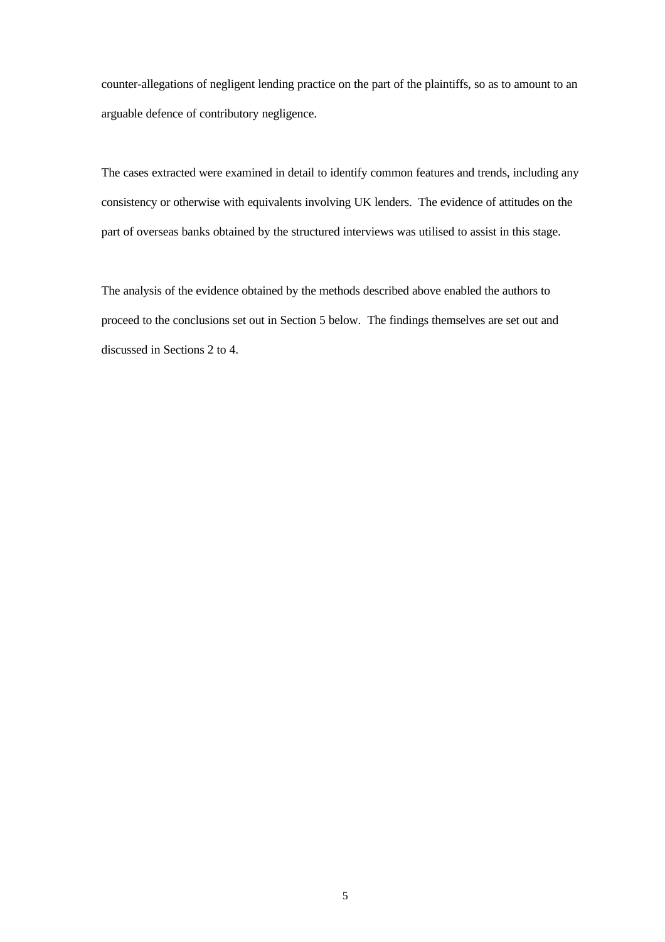counter-allegations of negligent lending practice on the part of the plaintiffs, so as to amount to an arguable defence of contributory negligence.

The cases extracted were examined in detail to identify common features and trends, including any consistency or otherwise with equivalents involving UK lenders. The evidence of attitudes on the part of overseas banks obtained by the structured interviews was utilised to assist in this stage.

The analysis of the evidence obtained by the methods described above enabled the authors to proceed to the conclusions set out in Section 5 below. The findings themselves are set out and discussed in Sections 2 to 4.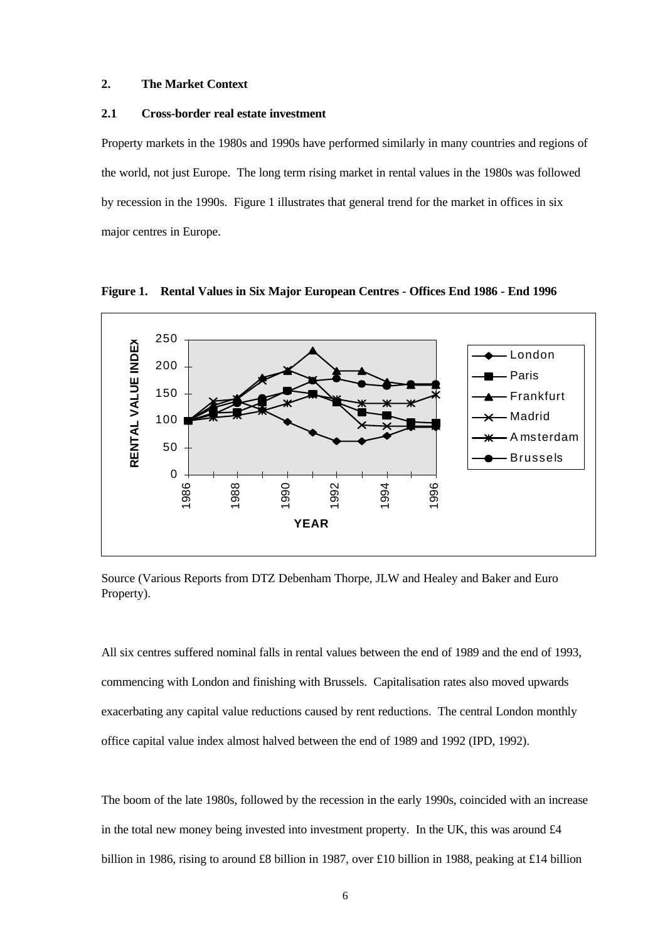#### **2. The Market Context**

#### **2.1 Cross-border real estate investment**

Property markets in the 1980s and 1990s have performed similarly in many countries and regions of the world, not just Europe. The long term rising market in rental values in the 1980s was followed by recession in the 1990s. Figure 1 illustrates that general trend for the market in offices in six major centres in Europe.



**Figure 1. Rental Values in Six Major European Centres - Offices End 1986 - End 1996**

Source (Various Reports from DTZ Debenham Thorpe, JLW and Healey and Baker and Euro Property).

All six centres suffered nominal falls in rental values between the end of 1989 and the end of 1993, commencing with London and finishing with Brussels. Capitalisation rates also moved upwards exacerbating any capital value reductions caused by rent reductions. The central London monthly office capital value index almost halved between the end of 1989 and 1992 (IPD, 1992).

The boom of the late 1980s, followed by the recession in the early 1990s, coincided with an increase in the total new money being invested into investment property. In the UK, this was around £4 billion in 1986, rising to around £8 billion in 1987, over £10 billion in 1988, peaking at £14 billion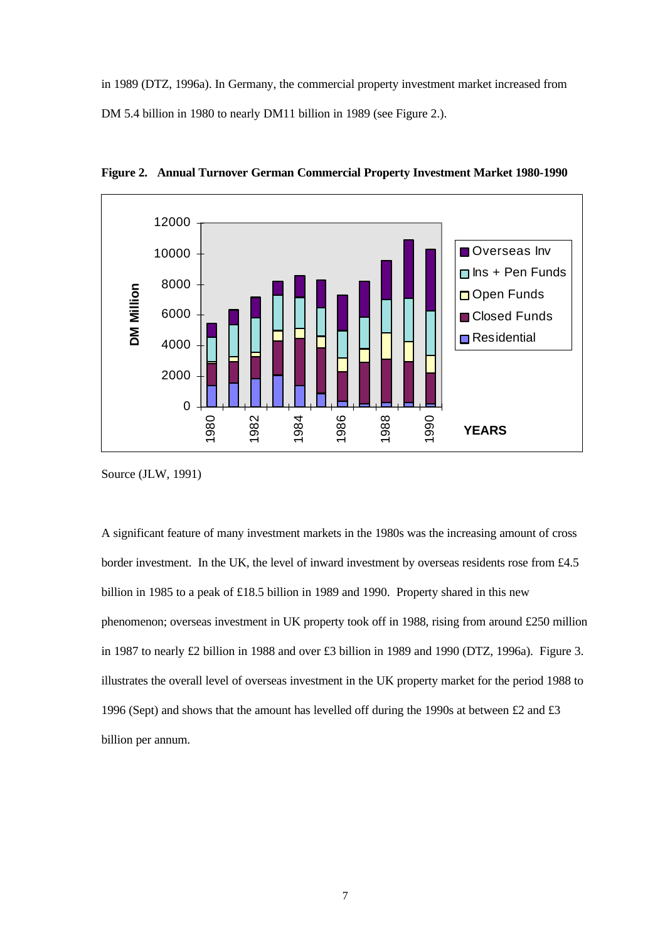in 1989 (DTZ, 1996a). In Germany, the commercial property investment market increased from DM 5.4 billion in 1980 to nearly DM11 billion in 1989 (see Figure 2.).



**Figure 2. Annual Turnover German Commercial Property Investment Market 1980-1990**

A significant feature of many investment markets in the 1980s was the increasing amount of cross border investment. In the UK, the level of inward investment by overseas residents rose from £4.5 billion in 1985 to a peak of £18.5 billion in 1989 and 1990. Property shared in this new phenomenon; overseas investment in UK property took off in 1988, rising from around £250 million in 1987 to nearly £2 billion in 1988 and over £3 billion in 1989 and 1990 (DTZ, 1996a). Figure 3. illustrates the overall level of overseas investment in the UK property market for the period 1988 to 1996 (Sept) and shows that the amount has levelled off during the 1990s at between £2 and £3 billion per annum.

Source (JLW, 1991)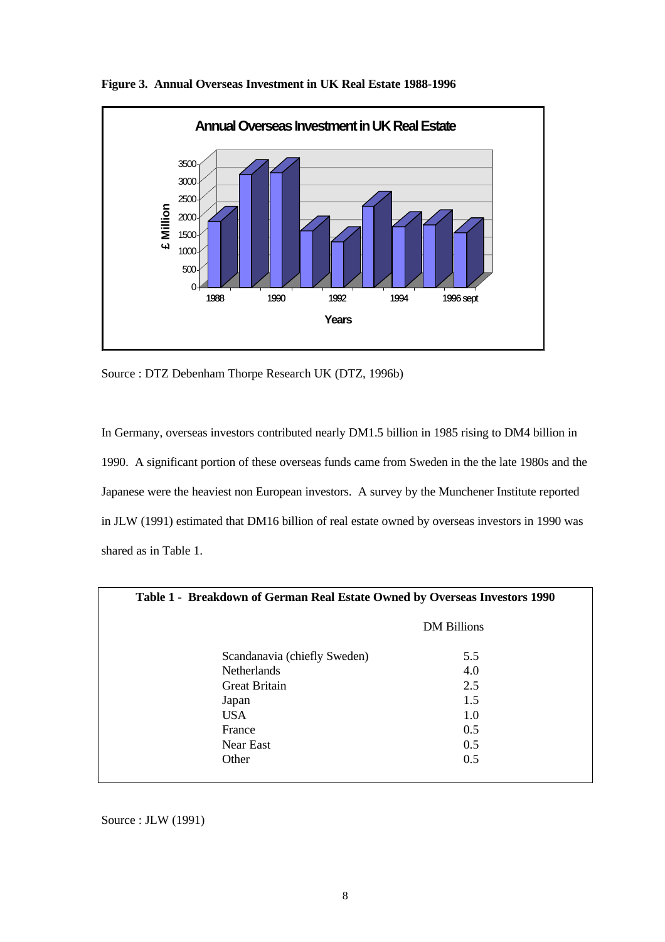

**Figure 3. Annual Overseas Investment in UK Real Estate 1988-1996**

Source : DTZ Debenham Thorpe Research UK (DTZ, 1996b)

In Germany, overseas investors contributed nearly DM1.5 billion in 1985 rising to DM4 billion in 1990. A significant portion of these overseas funds came from Sweden in the the late 1980s and the Japanese were the heaviest non European investors. A survey by the Munchener Institute reported in JLW (1991) estimated that DM16 billion of real estate owned by overseas investors in 1990 was shared as in Table 1.

| Table 1 - Breakdown of German Real Estate Owned by Overseas Investors 1990 |                    |  |  |  |  |
|----------------------------------------------------------------------------|--------------------|--|--|--|--|
|                                                                            | <b>DM</b> Billions |  |  |  |  |
| Scandanavia (chiefly Sweden)                                               | 5.5                |  |  |  |  |
| <b>Netherlands</b>                                                         | 4.0                |  |  |  |  |
| <b>Great Britain</b>                                                       | 2.5                |  |  |  |  |
| Japan                                                                      | 1.5                |  |  |  |  |
| USA.                                                                       | 1.0                |  |  |  |  |
| France                                                                     | 0.5                |  |  |  |  |
| Near East                                                                  | 0.5                |  |  |  |  |
| Other                                                                      | 0.5                |  |  |  |  |
|                                                                            |                    |  |  |  |  |

Source : JLW (1991)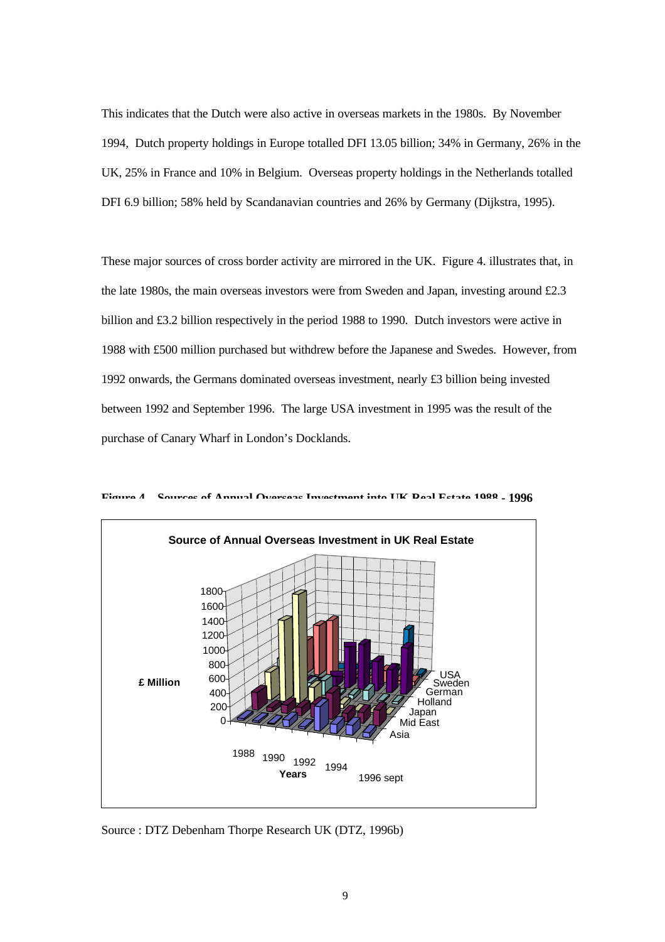This indicates that the Dutch were also active in overseas markets in the 1980s. By November 1994, Dutch property holdings in Europe totalled DFI 13.05 billion; 34% in Germany, 26% in the UK, 25% in France and 10% in Belgium. Overseas property holdings in the Netherlands totalled DFI 6.9 billion; 58% held by Scandanavian countries and 26% by Germany (Dijkstra, 1995).

These major sources of cross border activity are mirrored in the UK. Figure 4. illustrates that, in the late 1980s, the main overseas investors were from Sweden and Japan, investing around £2.3 billion and £3.2 billion respectively in the period 1988 to 1990. Dutch investors were active in 1988 with £500 million purchased but withdrew before the Japanese and Swedes. However, from 1992 onwards, the Germans dominated overseas investment, nearly  $£3$  billion being invested between 1992 and September 1996. The large USA investment in 1995 was the result of the purchase of Canary Wharf in London's Docklands.



**Figure 4. Sources of Annual Overseas Investment into UK Real Estate 1988 - 1996**

Source : DTZ Debenham Thorpe Research UK (DTZ, 1996b)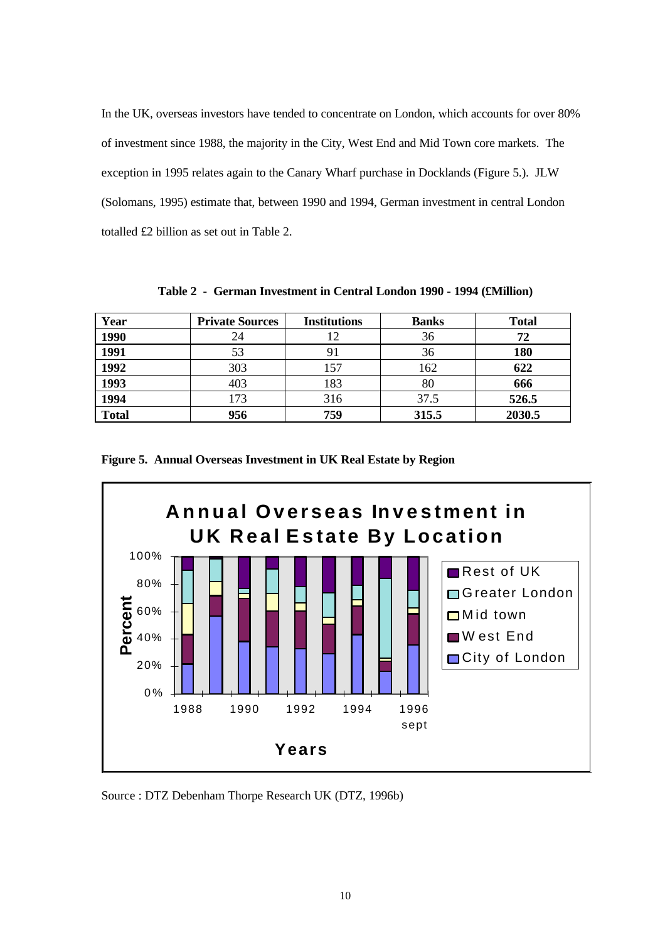In the UK, overseas investors have tended to concentrate on London, which accounts for over 80% of investment since 1988, the majority in the City, West End and Mid Town core markets. The exception in 1995 relates again to the Canary Wharf purchase in Docklands (Figure 5.). JLW (Solomans, 1995) estimate that, between 1990 and 1994, German investment in central London totalled £2 billion as set out in Table 2.

| Year         | <b>Private Sources</b> | <b>Institutions</b> | <b>Banks</b> | <b>Total</b> |
|--------------|------------------------|---------------------|--------------|--------------|
| 1990         | 24                     |                     | 36           | 72           |
| 1991         | 53                     |                     | 36           | 180          |
| 1992         | 303                    | 157                 | 162          | 622          |
| 1993         | 403                    | 183                 | 80           | 666          |
| 1994         | 173                    | 316                 | 37.5         | 526.5        |
| <b>Total</b> | 956                    | 759                 | 315.5        | 2030.5       |

**Table 2 - German Investment in Central London 1990 - 1994 (£Million)**

**Figure 5. Annual Overseas Investment in UK Real Estate by Region**



Source : DTZ Debenham Thorpe Research UK (DTZ, 1996b)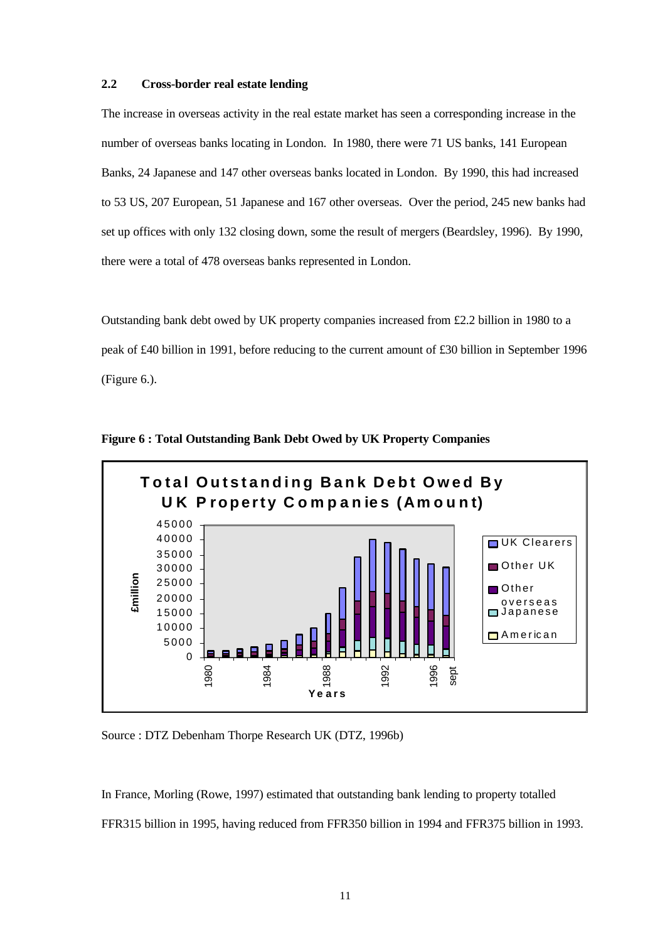### **2.2 Cross-border real estate lending**

The increase in overseas activity in the real estate market has seen a corresponding increase in the number of overseas banks locating in London. In 1980, there were 71 US banks, 141 European Banks, 24 Japanese and 147 other overseas banks located in London. By 1990, this had increased to 53 US, 207 European, 51 Japanese and 167 other overseas. Over the period, 245 new banks had set up offices with only 132 closing down, some the result of mergers (Beardsley, 1996). By 1990, there were a total of 478 overseas banks represented in London.

Outstanding bank debt owed by UK property companies increased from £2.2 billion in 1980 to a peak of £40 billion in 1991, before reducing to the current amount of £30 billion in September 1996 (Figure 6.).



**Figure 6 : Total Outstanding Bank Debt Owed by UK Property Companies**

Source : DTZ Debenham Thorpe Research UK (DTZ, 1996b)

In France, Morling (Rowe, 1997) estimated that outstanding bank lending to property totalled FFR315 billion in 1995, having reduced from FFR350 billion in 1994 and FFR375 billion in 1993.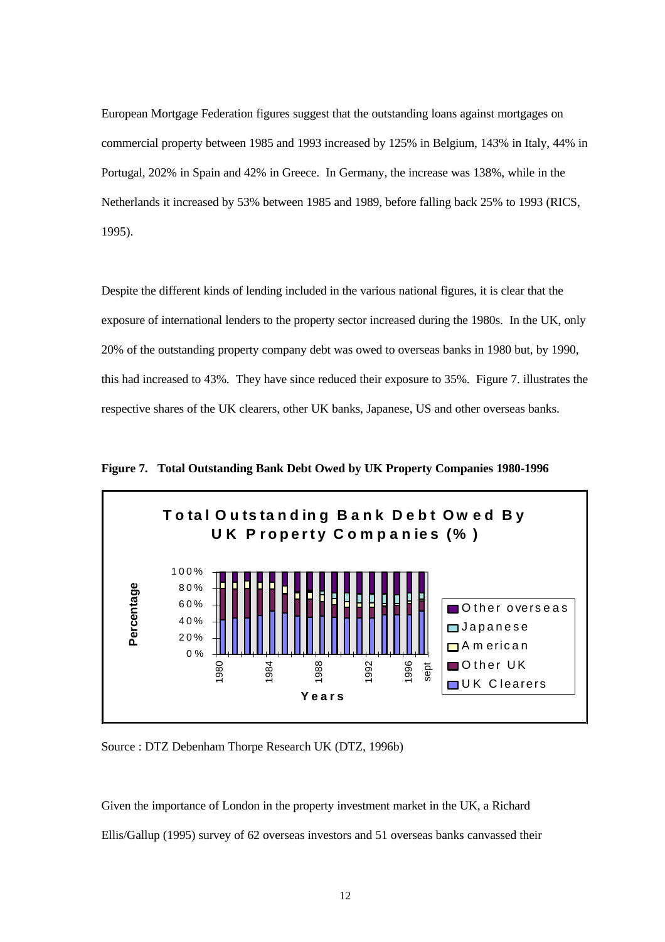European Mortgage Federation figures suggest that the outstanding loans against mortgages on commercial property between 1985 and 1993 increased by 125% in Belgium, 143% in Italy, 44% in Portugal, 202% in Spain and 42% in Greece. In Germany, the increase was 138%, while in the Netherlands it increased by 53% between 1985 and 1989, before falling back 25% to 1993 (RICS, 1995).

Despite the different kinds of lending included in the various national figures, it is clear that the exposure of international lenders to the property sector increased during the 1980s. In the UK, only 20% of the outstanding property company debt was owed to overseas banks in 1980 but, by 1990, this had increased to 43%. They have since reduced their exposure to 35%. Figure 7. illustrates the respective shares of the UK clearers, other UK banks, Japanese, US and other overseas banks.



**Figure 7. Total Outstanding Bank Debt Owed by UK Property Companies 1980-1996**

Source : DTZ Debenham Thorpe Research UK (DTZ, 1996b)

Given the importance of London in the property investment market in the UK, a Richard Ellis/Gallup (1995) survey of 62 overseas investors and 51 overseas banks canvassed their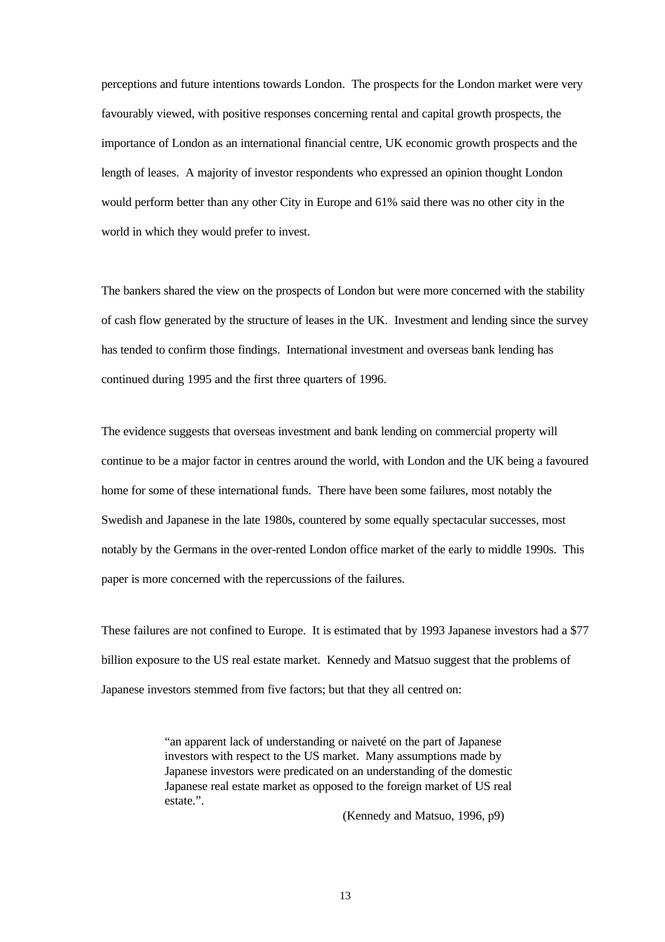perceptions and future intentions towards London. The prospects for the London market were very favourably viewed, with positive responses concerning rental and capital growth prospects, the importance of London as an international financial centre, UK economic growth prospects and the length of leases. A majority of investor respondents who expressed an opinion thought London would perform better than any other City in Europe and 61% said there was no other city in the world in which they would prefer to invest.

The bankers shared the view on the prospects of London but were more concerned with the stability of cash flow generated by the structure of leases in the UK. Investment and lending since the survey has tended to confirm those findings. International investment and overseas bank lending has continued during 1995 and the first three quarters of 1996.

The evidence suggests that overseas investment and bank lending on commercial property will continue to be a major factor in centres around the world, with London and the UK being a favoured home for some of these international funds. There have been some failures, most notably the Swedish and Japanese in the late 1980s, countered by some equally spectacular successes, most notably by the Germans in the over-rented London office market of the early to middle 1990s. This paper is more concerned with the repercussions of the failures.

These failures are not confined to Europe. It is estimated that by 1993 Japanese investors had a \$77 billion exposure to the US real estate market. Kennedy and Matsuo suggest that the problems of Japanese investors stemmed from five factors; but that they all centred on:

> "an apparent lack of understanding or naiveté on the part of Japanese investors with respect to the US market. Many assumptions made by Japanese investors were predicated on an understanding of the domestic Japanese real estate market as opposed to the foreign market of US real estate.".

> > (Kennedy and Matsuo, 1996, p9)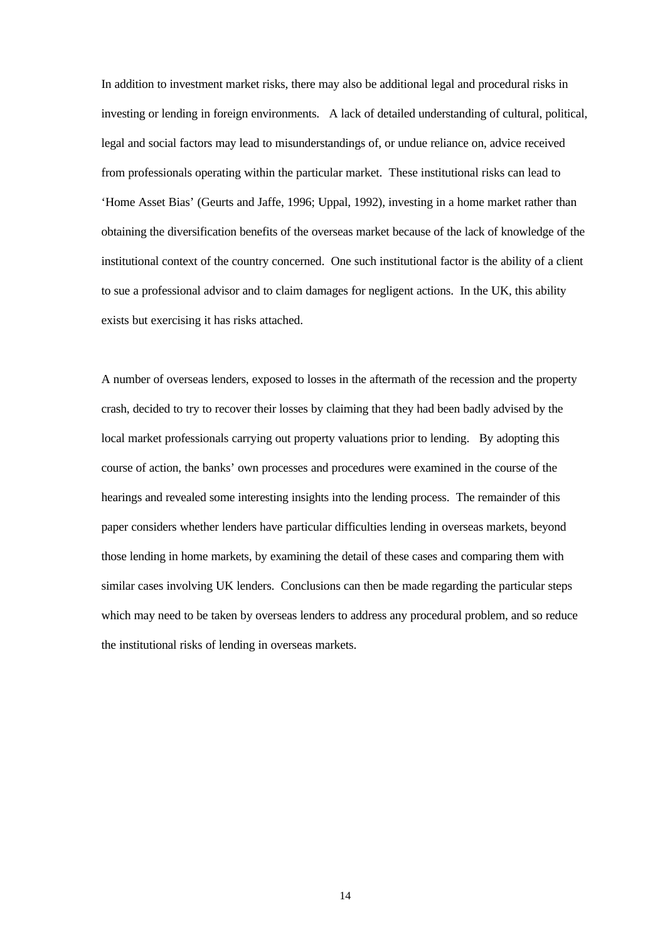In addition to investment market risks, there may also be additional legal and procedural risks in investing or lending in foreign environments. A lack of detailed understanding of cultural, political, legal and social factors may lead to misunderstandings of, or undue reliance on, advice received from professionals operating within the particular market. These institutional risks can lead to 'Home Asset Bias' (Geurts and Jaffe, 1996; Uppal, 1992), investing in a home market rather than obtaining the diversification benefits of the overseas market because of the lack of knowledge of the institutional context of the country concerned. One such institutional factor is the ability of a client to sue a professional advisor and to claim damages for negligent actions. In the UK, this ability exists but exercising it has risks attached.

A number of overseas lenders, exposed to losses in the aftermath of the recession and the property crash, decided to try to recover their losses by claiming that they had been badly advised by the local market professionals carrying out property valuations prior to lending. By adopting this course of action, the banks' own processes and procedures were examined in the course of the hearings and revealed some interesting insights into the lending process. The remainder of this paper considers whether lenders have particular difficulties lending in overseas markets, beyond those lending in home markets, by examining the detail of these cases and comparing them with similar cases involving UK lenders. Conclusions can then be made regarding the particular steps which may need to be taken by overseas lenders to address any procedural problem, and so reduce the institutional risks of lending in overseas markets.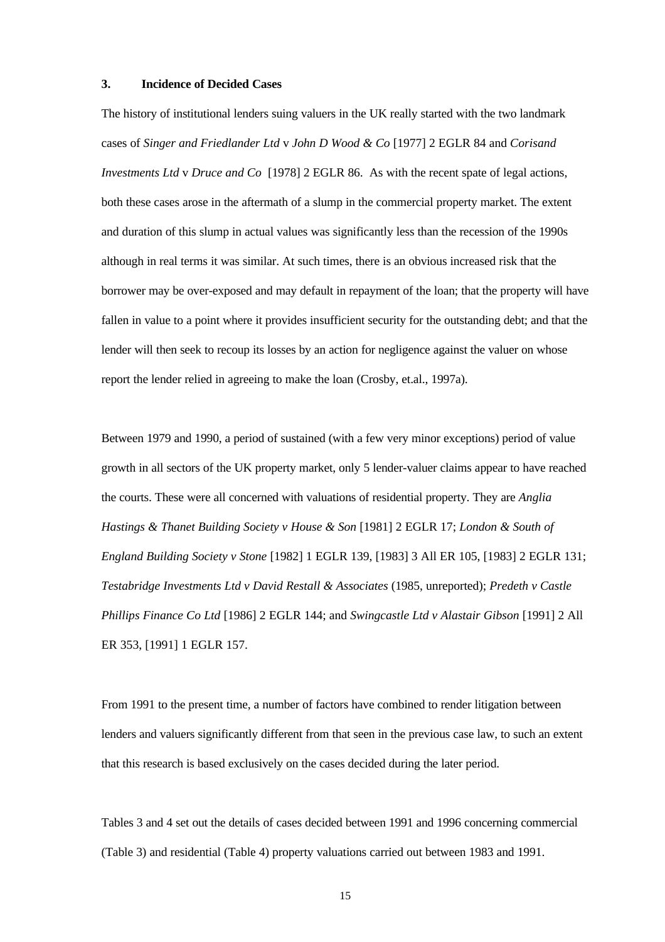#### **3. Incidence of Decided Cases**

The history of institutional lenders suing valuers in the UK really started with the two landmark cases of *Singer and Friedlander Ltd* v *John D Wood & Co* [1977] 2 EGLR 84 and *Corisand Investments Ltd* v *Druce and Co* [1978] 2 EGLR 86. As with the recent spate of legal actions, both these cases arose in the aftermath of a slump in the commercial property market. The extent and duration of this slump in actual values was significantly less than the recession of the 1990s although in real terms it was similar. At such times, there is an obvious increased risk that the borrower may be over-exposed and may default in repayment of the loan; that the property will have fallen in value to a point where it provides insufficient security for the outstanding debt; and that the lender will then seek to recoup its losses by an action for negligence against the valuer on whose report the lender relied in agreeing to make the loan (Crosby, et.al., 1997a).

Between 1979 and 1990, a period of sustained (with a few very minor exceptions) period of value growth in all sectors of the UK property market, only 5 lender-valuer claims appear to have reached the courts. These were all concerned with valuations of residential property. They are *Anglia Hastings & Thanet Building Society v House & Son* [1981] 2 EGLR 17; *London & South of England Building Society v Stone* [1982] 1 EGLR 139, [1983] 3 All ER 105, [1983] 2 EGLR 131; *Testabridge Investments Ltd v David Restall & Associates* (1985, unreported); *Predeth v Castle Phillips Finance Co Ltd* [1986] 2 EGLR 144; and *Swingcastle Ltd v Alastair Gibson* [1991] 2 All ER 353, [1991] 1 EGLR 157.

From 1991 to the present time, a number of factors have combined to render litigation between lenders and valuers significantly different from that seen in the previous case law, to such an extent that this research is based exclusively on the cases decided during the later period.

Tables 3 and 4 set out the details of cases decided between 1991 and 1996 concerning commercial (Table 3) and residential (Table 4) property valuations carried out between 1983 and 1991.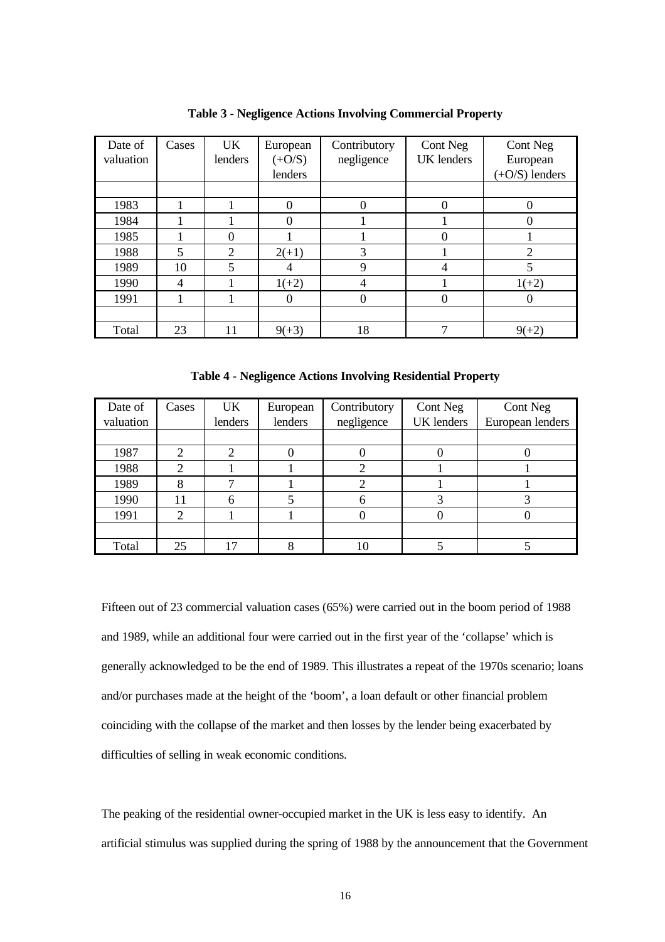| Date of<br>valuation | Cases | UK<br>lenders  | European<br>$(+O/S)$ | Contributory<br>negligence | Cont Neg<br><b>UK</b> lenders | Cont Neg<br>European |
|----------------------|-------|----------------|----------------------|----------------------------|-------------------------------|----------------------|
|                      |       |                |                      |                            |                               |                      |
|                      |       |                | lenders              |                            |                               | $(+O/S)$ lenders     |
|                      |       |                |                      |                            |                               |                      |
| 1983                 |       |                | 0                    |                            | $\Omega$                      |                      |
| 1984                 |       |                | 0                    |                            |                               |                      |
| 1985                 |       |                |                      |                            | $\Omega$                      |                      |
| 1988                 | 5     | $\overline{2}$ | $2(+1)$              | 3                          |                               | $\overline{2}$       |
| 1989                 | 10    | 5              | 4                    | 9                          | 4                             | 5                    |
| 1990                 | 4     |                | $1(+2)$              | 4                          |                               | $1(+2)$              |
| 1991                 |       |                | 0                    | 0                          | $\theta$                      | O                    |
|                      |       |                |                      |                            |                               |                      |
| Total                | 23    | 11             | $9(+3)$              | 18                         |                               | $9(+2)$              |

**Table 3 - Negligence Actions Involving Commercial Property**

**Table 4 - Negligence Actions Involving Residential Property**

| Date of   | Cases | <b>UK</b> | European | Contributory | Cont Neg          | Cont Neg         |
|-----------|-------|-----------|----------|--------------|-------------------|------------------|
| valuation |       | lenders   | lenders  | negligence   | <b>UK</b> lenders | European lenders |
|           |       |           |          |              |                   |                  |
| 1987      | ⌒     |           |          |              |                   |                  |
| 1988      | ∍     |           |          |              |                   |                  |
| 1989      |       |           |          |              |                   |                  |
| 1990      |       |           |          |              |                   |                  |
| 1991      | ⌒     |           |          |              |                   |                  |
|           |       |           |          |              |                   |                  |
| Total     | 25    |           |          |              |                   |                  |

Fifteen out of 23 commercial valuation cases (65%) were carried out in the boom period of 1988 and 1989, while an additional four were carried out in the first year of the 'collapse' which is generally acknowledged to be the end of 1989. This illustrates a repeat of the 1970s scenario; loans and/or purchases made at the height of the 'boom', a loan default or other financial problem coinciding with the collapse of the market and then losses by the lender being exacerbated by difficulties of selling in weak economic conditions.

The peaking of the residential owner-occupied market in the UK is less easy to identify. An artificial stimulus was supplied during the spring of 1988 by the announcement that the Government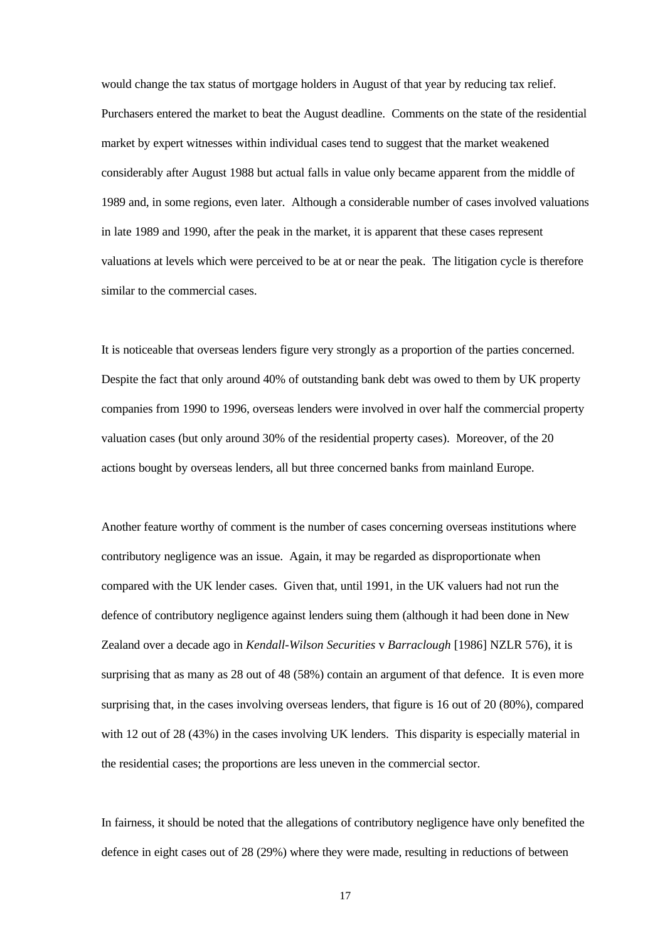would change the tax status of mortgage holders in August of that year by reducing tax relief. Purchasers entered the market to beat the August deadline. Comments on the state of the residential market by expert witnesses within individual cases tend to suggest that the market weakened considerably after August 1988 but actual falls in value only became apparent from the middle of 1989 and, in some regions, even later. Although a considerable number of cases involved valuations in late 1989 and 1990, after the peak in the market, it is apparent that these cases represent valuations at levels which were perceived to be at or near the peak. The litigation cycle is therefore similar to the commercial cases.

It is noticeable that overseas lenders figure very strongly as a proportion of the parties concerned. Despite the fact that only around 40% of outstanding bank debt was owed to them by UK property companies from 1990 to 1996, overseas lenders were involved in over half the commercial property valuation cases (but only around 30% of the residential property cases). Moreover, of the 20 actions bought by overseas lenders, all but three concerned banks from mainland Europe.

Another feature worthy of comment is the number of cases concerning overseas institutions where contributory negligence was an issue. Again, it may be regarded as disproportionate when compared with the UK lender cases. Given that, until 1991, in the UK valuers had not run the defence of contributory negligence against lenders suing them (although it had been done in New Zealand over a decade ago in *Kendall-Wilson Securities* v *Barraclough* [1986] NZLR 576), it is surprising that as many as 28 out of 48 (58%) contain an argument of that defence. It is even more surprising that, in the cases involving overseas lenders, that figure is 16 out of 20 (80%), compared with 12 out of 28 (43%) in the cases involving UK lenders. This disparity is especially material in the residential cases; the proportions are less uneven in the commercial sector.

In fairness, it should be noted that the allegations of contributory negligence have only benefited the defence in eight cases out of 28 (29%) where they were made, resulting in reductions of between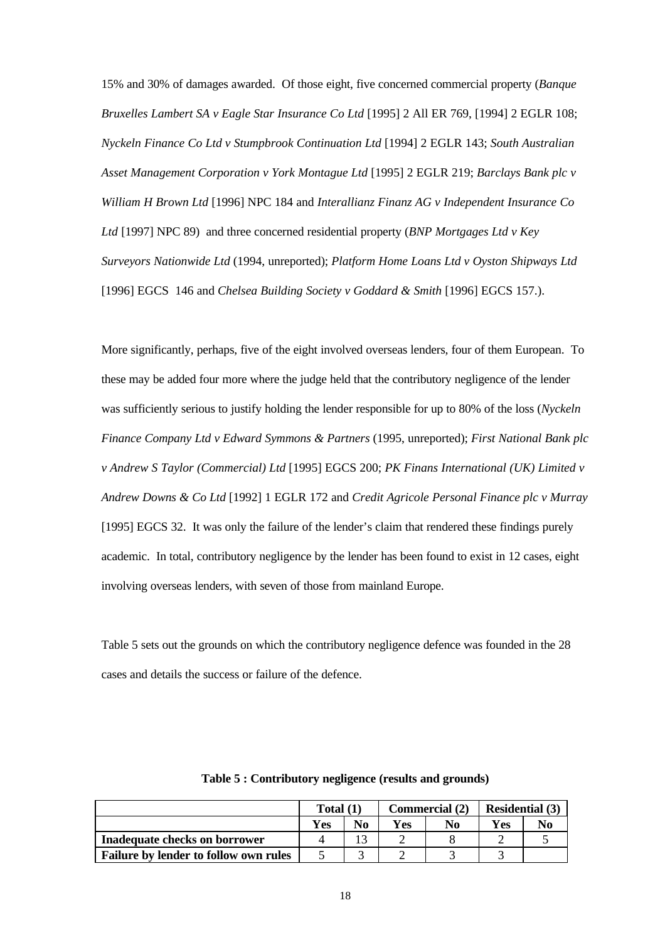15% and 30% of damages awarded. Of those eight, five concerned commercial property (*Banque Bruxelles Lambert SA v Eagle Star Insurance Co Ltd* [1995] 2 All ER 769, [1994] 2 EGLR 108; *Nyckeln Finance Co Ltd v Stumpbrook Continuation Ltd* [1994] 2 EGLR 143; *South Australian Asset Management Corporation v York Montague Ltd* [1995] 2 EGLR 219; *Barclays Bank plc v William H Brown Ltd* [1996] NPC 184 and *Interallianz Finanz AG v Independent Insurance Co Ltd* [1997] NPC 89) and three concerned residential property (*BNP Mortgages Ltd v Key Surveyors Nationwide Ltd* (1994, unreported); *Platform Home Loans Ltd v Oyston Shipways Ltd* [1996] EGCS 146 and *Chelsea Building Society v Goddard & Smith* [1996] EGCS 157.).

More significantly, perhaps, five of the eight involved overseas lenders, four of them European. To these may be added four more where the judge held that the contributory negligence of the lender was sufficiently serious to justify holding the lender responsible for up to 80% of the loss (*Nyckeln Finance Company Ltd v Edward Symmons & Partners* (1995, unreported); *First National Bank plc v Andrew S Taylor (Commercial) Ltd* [1995] EGCS 200; *PK Finans International (UK) Limited v Andrew Downs & Co Ltd* [1992] 1 EGLR 172 and *Credit Agricole Personal Finance plc v Murray* [1995] EGCS 32. It was only the failure of the lender's claim that rendered these findings purely academic. In total, contributory negligence by the lender has been found to exist in 12 cases, eight involving overseas lenders, with seven of those from mainland Europe.

Table 5 sets out the grounds on which the contributory negligence defence was founded in the 28 cases and details the success or failure of the defence.

|                                       | Total $(1)$ |    |  | <b>Commercial</b> (2) | <b>Residential (3)</b> |    |  |
|---------------------------------------|-------------|----|--|-----------------------|------------------------|----|--|
|                                       | Yes         | No |  | <b>Yes</b><br>No      |                        | No |  |
| Inadequate checks on borrower         |             |    |  |                       |                        |    |  |
| Failure by lender to follow own rules |             |    |  |                       |                        |    |  |

**Table 5 : Contributory negligence (results and grounds)**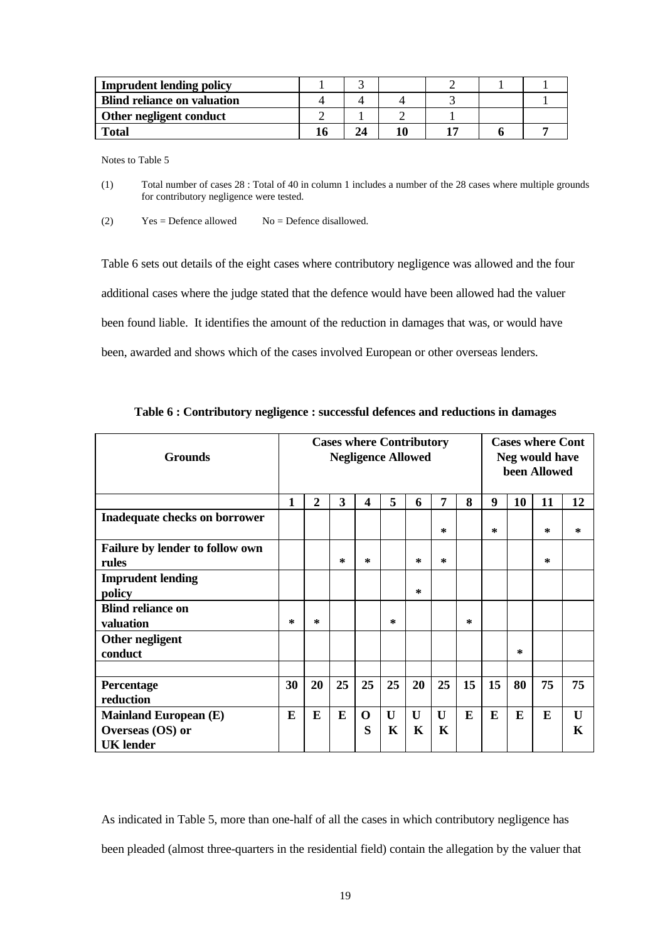| <b>Imprudent lending policy</b>    |    |    |  |  |
|------------------------------------|----|----|--|--|
| <b>Blind reliance on valuation</b> |    |    |  |  |
| Other negligent conduct            |    |    |  |  |
| <b>Total</b>                       | 24 | 10 |  |  |

Notes to Table 5

Table 6 sets out details of the eight cases where contributory negligence was allowed and the four additional cases where the judge stated that the defence would have been allowed had the valuer been found liable. It identifies the amount of the reduction in damages that was, or would have been, awarded and shows which of the cases involved European or other overseas lenders.

| <b>Grounds</b>                                                       |    |              |         |                  |                   | <b>Cases where Contributory</b><br><b>Negligence Allowed</b> |                   |        | <b>Cases where Cont</b><br>Neg would have<br>been Allowed |        |         |        |
|----------------------------------------------------------------------|----|--------------|---------|------------------|-------------------|--------------------------------------------------------------|-------------------|--------|-----------------------------------------------------------|--------|---------|--------|
|                                                                      | 1  | $\mathbf{2}$ | 3       | 4                | 5                 | 6                                                            | 7                 | 8      | 9                                                         | 10     | 11      | 12     |
| Inadequate checks on borrower                                        |    |              |         |                  |                   |                                                              | $\star$           |        | $\ast$                                                    |        | $\star$ | $\ast$ |
| Failure by lender to follow own<br>rules                             |    |              | $\star$ | $\star$          |                   | $\ast$                                                       | $\star$           |        |                                                           |        | $\star$ |        |
| <b>Imprudent lending</b><br>policy                                   |    |              |         |                  |                   | $\ast$                                                       |                   |        |                                                           |        |         |        |
| <b>Blind reliance on</b><br>valuation                                | ∗  | $\ast$       |         |                  | $\star$           |                                                              |                   | $\ast$ |                                                           |        |         |        |
| Other negligent<br>conduct                                           |    |              |         |                  |                   |                                                              |                   |        |                                                           | $\ast$ |         |        |
|                                                                      |    |              |         |                  |                   |                                                              |                   |        |                                                           |        |         |        |
| Percentage<br>reduction                                              | 30 | 20           | 25      | 25               | 25                | 20                                                           | 25                | 15     | 15                                                        | 80     | 75      | 75     |
| <b>Mainland European (E)</b><br>Overseas (OS) or<br><b>UK</b> lender | E  | E            | E       | $\mathbf 0$<br>S | $\mathbf{U}$<br>K | U<br>K                                                       | $\mathbf{U}$<br>K | E      | E                                                         | E      | E       | U<br>K |

|  | Table 6 : Contributory negligence : successful defences and reductions in damages |  |  |  |  |
|--|-----------------------------------------------------------------------------------|--|--|--|--|
|  |                                                                                   |  |  |  |  |

As indicated in Table 5, more than one-half of all the cases in which contributory negligence has been pleaded (almost three-quarters in the residential field) contain the allegation by the valuer that

<sup>(1)</sup> Total number of cases 28 : Total of 40 in column 1 includes a number of the 28 cases where multiple grounds for contributory negligence were tested.

<sup>(2)</sup>  $Yes = Defense allowed$   $No = Defense$  disallowed.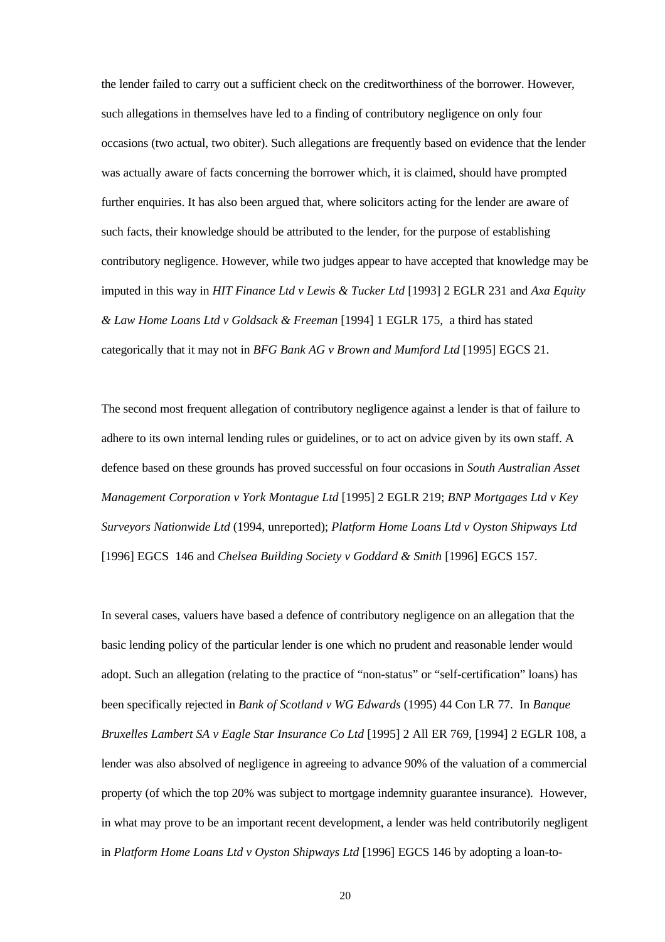the lender failed to carry out a sufficient check on the creditworthiness of the borrower. However, such allegations in themselves have led to a finding of contributory negligence on only four occasions (two actual, two obiter). Such allegations are frequently based on evidence that the lender was actually aware of facts concerning the borrower which, it is claimed, should have prompted further enquiries. It has also been argued that, where solicitors acting for the lender are aware of such facts, their knowledge should be attributed to the lender, for the purpose of establishing contributory negligence. However, while two judges appear to have accepted that knowledge may be imputed in this way in *HIT Finance Ltd v Lewis & Tucker Ltd* [1993] 2 EGLR 231 and *Axa Equity & Law Home Loans Ltd v Goldsack & Freeman* [1994] 1 EGLR 175, a third has stated categorically that it may not in *BFG Bank AG v Brown and Mumford Ltd* [1995] EGCS 21.

The second most frequent allegation of contributory negligence against a lender is that of failure to adhere to its own internal lending rules or guidelines, or to act on advice given by its own staff. A defence based on these grounds has proved successful on four occasions in *South Australian Asset Management Corporation v York Montague Ltd* [1995] 2 EGLR 219; *BNP Mortgages Ltd v Key Surveyors Nationwide Ltd* (1994, unreported); *Platform Home Loans Ltd v Oyston Shipways Ltd* [1996] EGCS 146 and *Chelsea Building Society v Goddard & Smith* [1996] EGCS 157.

In several cases, valuers have based a defence of contributory negligence on an allegation that the basic lending policy of the particular lender is one which no prudent and reasonable lender would adopt. Such an allegation (relating to the practice of "non-status" or "self-certification" loans) has been specifically rejected in *Bank of Scotland v WG Edwards* (1995) 44 Con LR 77. In *Banque Bruxelles Lambert SA v Eagle Star Insurance Co Ltd* [1995] 2 All ER 769, [1994] 2 EGLR 108, a lender was also absolved of negligence in agreeing to advance 90% of the valuation of a commercial property (of which the top 20% was subject to mortgage indemnity guarantee insurance). However, in what may prove to be an important recent development, a lender was held contributorily negligent in *Platform Home Loans Ltd v Oyston Shipways Ltd* [1996] EGCS 146 by adopting a loan-to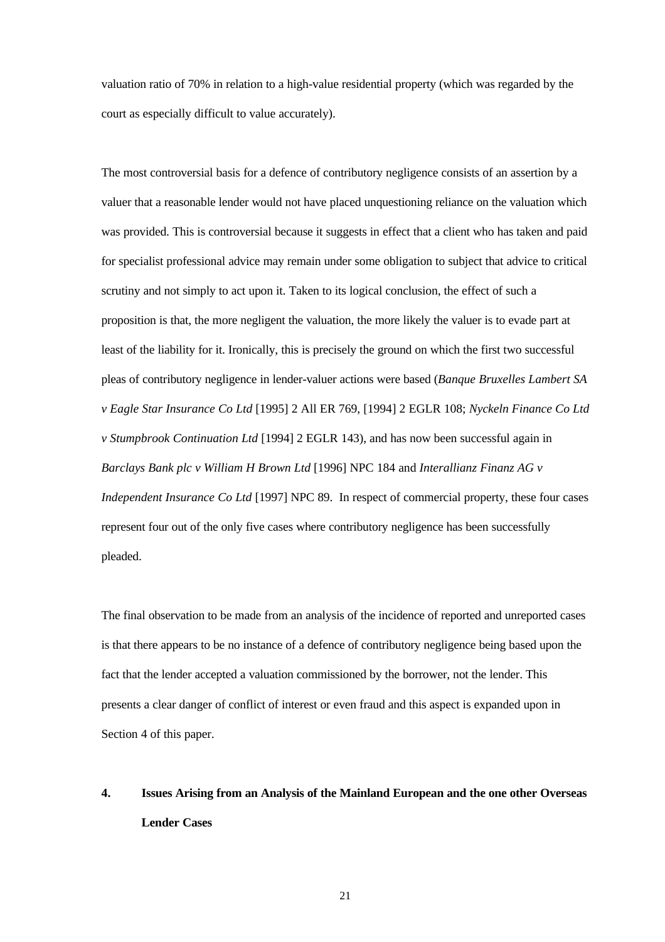valuation ratio of 70% in relation to a high-value residential property (which was regarded by the court as especially difficult to value accurately).

The most controversial basis for a defence of contributory negligence consists of an assertion by a valuer that a reasonable lender would not have placed unquestioning reliance on the valuation which was provided. This is controversial because it suggests in effect that a client who has taken and paid for specialist professional advice may remain under some obligation to subject that advice to critical scrutiny and not simply to act upon it. Taken to its logical conclusion, the effect of such a proposition is that, the more negligent the valuation, the more likely the valuer is to evade part at least of the liability for it. Ironically, this is precisely the ground on which the first two successful pleas of contributory negligence in lender-valuer actions were based (*Banque Bruxelles Lambert SA v Eagle Star Insurance Co Ltd* [1995] 2 All ER 769, [1994] 2 EGLR 108; *Nyckeln Finance Co Ltd v Stumpbrook Continuation Ltd* [1994] 2 EGLR 143), and has now been successful again in *Barclays Bank plc v William H Brown Ltd* [1996] NPC 184 and *Interallianz Finanz AG v Independent Insurance Co Ltd* [1997] NPC 89. In respect of commercial property, these four cases represent four out of the only five cases where contributory negligence has been successfully pleaded.

The final observation to be made from an analysis of the incidence of reported and unreported cases is that there appears to be no instance of a defence of contributory negligence being based upon the fact that the lender accepted a valuation commissioned by the borrower, not the lender. This presents a clear danger of conflict of interest or even fraud and this aspect is expanded upon in Section 4 of this paper.

# **4. Issues Arising from an Analysis of the Mainland European and the one other Overseas Lender Cases**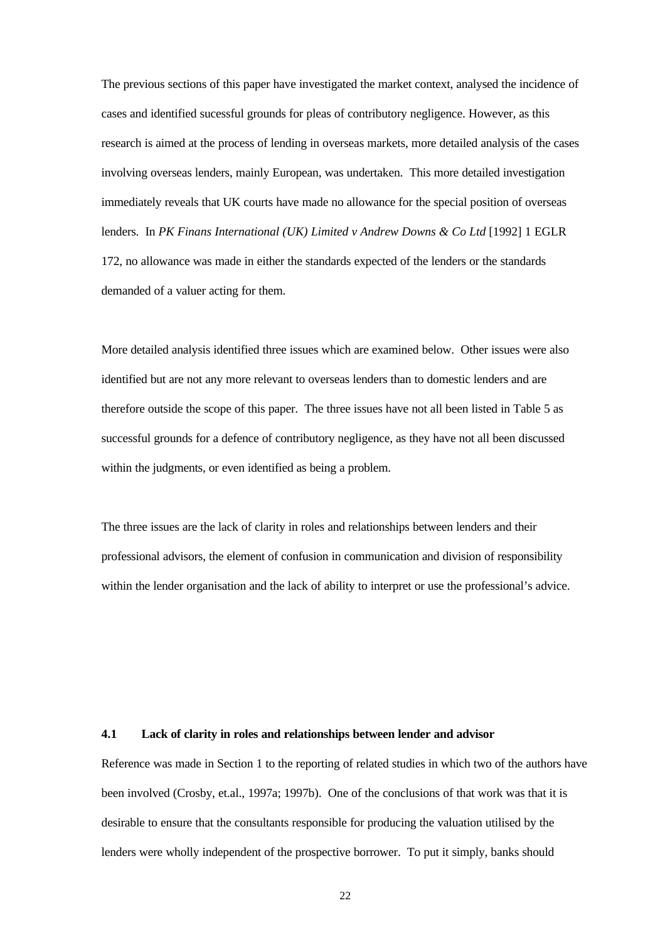The previous sections of this paper have investigated the market context, analysed the incidence of cases and identified sucessful grounds for pleas of contributory negligence. However, as this research is aimed at the process of lending in overseas markets, more detailed analysis of the cases involving overseas lenders, mainly European, was undertaken. This more detailed investigation immediately reveals that UK courts have made no allowance for the special position of overseas lenders. In *PK Finans International (UK) Limited v Andrew Downs & Co Ltd* [1992] 1 EGLR 172, no allowance was made in either the standards expected of the lenders or the standards demanded of a valuer acting for them.

More detailed analysis identified three issues which are examined below. Other issues were also identified but are not any more relevant to overseas lenders than to domestic lenders and are therefore outside the scope of this paper. The three issues have not all been listed in Table 5 as successful grounds for a defence of contributory negligence, as they have not all been discussed within the judgments, or even identified as being a problem.

The three issues are the lack of clarity in roles and relationships between lenders and their professional advisors, the element of confusion in communication and division of responsibility within the lender organisation and the lack of ability to interpret or use the professional's advice.

#### **4.1 Lack of clarity in roles and relationships between lender and advisor**

Reference was made in Section 1 to the reporting of related studies in which two of the authors have been involved (Crosby, et.al., 1997a; 1997b). One of the conclusions of that work was that it is desirable to ensure that the consultants responsible for producing the valuation utilised by the lenders were wholly independent of the prospective borrower. To put it simply, banks should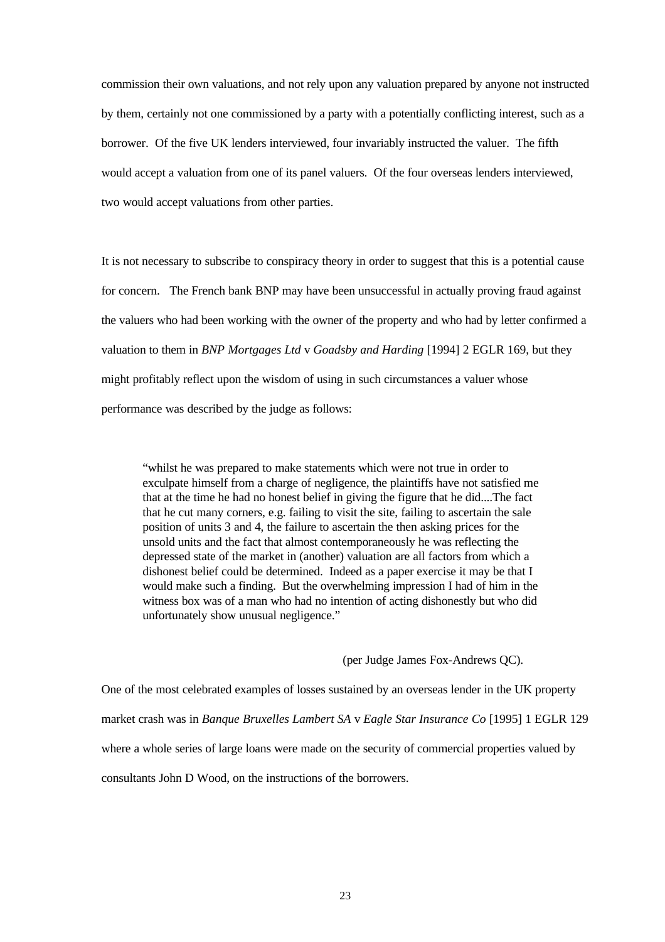commission their own valuations, and not rely upon any valuation prepared by anyone not instructed by them, certainly not one commissioned by a party with a potentially conflicting interest, such as a borrower. Of the five UK lenders interviewed, four invariably instructed the valuer. The fifth would accept a valuation from one of its panel valuers. Of the four overseas lenders interviewed, two would accept valuations from other parties.

It is not necessary to subscribe to conspiracy theory in order to suggest that this is a potential cause for concern. The French bank BNP may have been unsuccessful in actually proving fraud against the valuers who had been working with the owner of the property and who had by letter confirmed a valuation to them in *BNP Mortgages Ltd* v *Goadsby and Harding* [1994] 2 EGLR 169, but they might profitably reflect upon the wisdom of using in such circumstances a valuer whose performance was described by the judge as follows:

"whilst he was prepared to make statements which were not true in order to exculpate himself from a charge of negligence, the plaintiffs have not satisfied me that at the time he had no honest belief in giving the figure that he did....The fact that he cut many corners, e.g. failing to visit the site, failing to ascertain the sale position of units 3 and 4, the failure to ascertain the then asking prices for the unsold units and the fact that almost contemporaneously he was reflecting the depressed state of the market in (another) valuation are all factors from which a dishonest belief could be determined. Indeed as a paper exercise it may be that I would make such a finding. But the overwhelming impression I had of him in the witness box was of a man who had no intention of acting dishonestly but who did unfortunately show unusual negligence."

(per Judge James Fox-Andrews QC).

One of the most celebrated examples of losses sustained by an overseas lender in the UK property market crash was in *Banque Bruxelles Lambert SA* v *Eagle Star Insurance Co* [1995] 1 EGLR 129 where a whole series of large loans were made on the security of commercial properties valued by consultants John D Wood, on the instructions of the borrowers.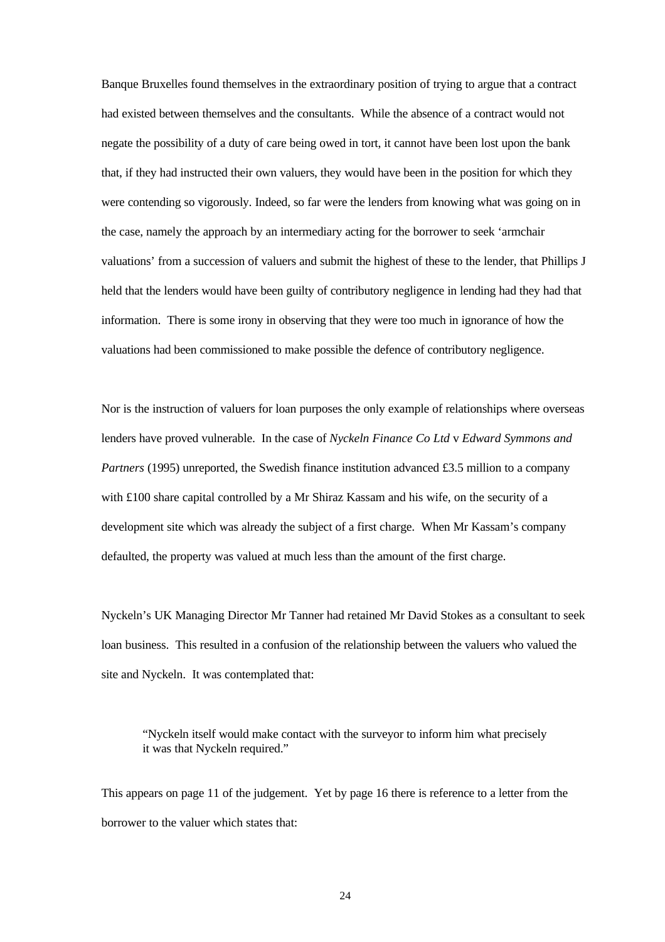Banque Bruxelles found themselves in the extraordinary position of trying to argue that a contract had existed between themselves and the consultants. While the absence of a contract would not negate the possibility of a duty of care being owed in tort, it cannot have been lost upon the bank that, if they had instructed their own valuers, they would have been in the position for which they were contending so vigorously. Indeed, so far were the lenders from knowing what was going on in the case, namely the approach by an intermediary acting for the borrower to seek 'armchair valuations' from a succession of valuers and submit the highest of these to the lender, that Phillips J held that the lenders would have been guilty of contributory negligence in lending had they had that information. There is some irony in observing that they were too much in ignorance of how the valuations had been commissioned to make possible the defence of contributory negligence.

Nor is the instruction of valuers for loan purposes the only example of relationships where overseas lenders have proved vulnerable. In the case of *Nyckeln Finance Co Ltd* v *Edward Symmons and Partners* (1995) unreported, the Swedish finance institution advanced £3.5 million to a company with £100 share capital controlled by a Mr Shiraz Kassam and his wife, on the security of a development site which was already the subject of a first charge. When Mr Kassam's company defaulted, the property was valued at much less than the amount of the first charge.

Nyckeln's UK Managing Director Mr Tanner had retained Mr David Stokes as a consultant to seek loan business. This resulted in a confusion of the relationship between the valuers who valued the site and Nyckeln. It was contemplated that:

"Nyckeln itself would make contact with the surveyor to inform him what precisely it was that Nyckeln required."

This appears on page 11 of the judgement. Yet by page 16 there is reference to a letter from the borrower to the valuer which states that: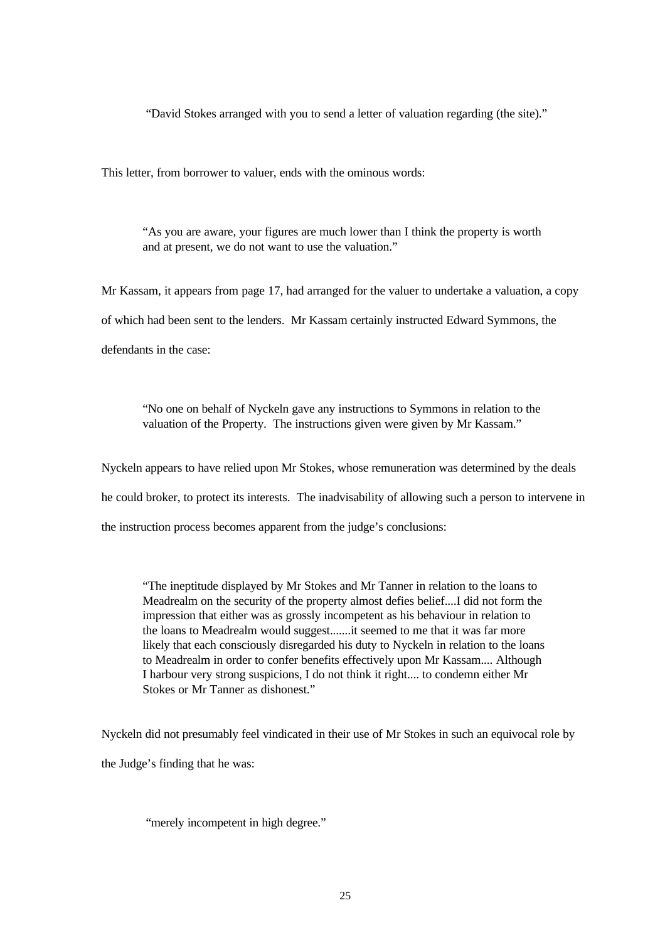"David Stokes arranged with you to send a letter of valuation regarding (the site)."

This letter, from borrower to valuer, ends with the ominous words:

"As you are aware, your figures are much lower than I think the property is worth and at present, we do not want to use the valuation."

Mr Kassam, it appears from page 17, had arranged for the valuer to undertake a valuation, a copy of which had been sent to the lenders. Mr Kassam certainly instructed Edward Symmons, the defendants in the case:

"No one on behalf of Nyckeln gave any instructions to Symmons in relation to the valuation of the Property. The instructions given were given by Mr Kassam."

Nyckeln appears to have relied upon Mr Stokes, whose remuneration was determined by the deals he could broker, to protect its interests. The inadvisability of allowing such a person to intervene in the instruction process becomes apparent from the judge's conclusions:

"The ineptitude displayed by Mr Stokes and Mr Tanner in relation to the loans to Meadrealm on the security of the property almost defies belief....I did not form the impression that either was as grossly incompetent as his behaviour in relation to the loans to Meadrealm would suggest.......it seemed to me that it was far more likely that each consciously disregarded his duty to Nyckeln in relation to the loans to Meadrealm in order to confer benefits effectively upon Mr Kassam.... Although I harbour very strong suspicions, I do not think it right.... to condemn either Mr Stokes or Mr Tanner as dishonest."

Nyckeln did not presumably feel vindicated in their use of Mr Stokes in such an equivocal role by the Judge's finding that he was:

"merely incompetent in high degree."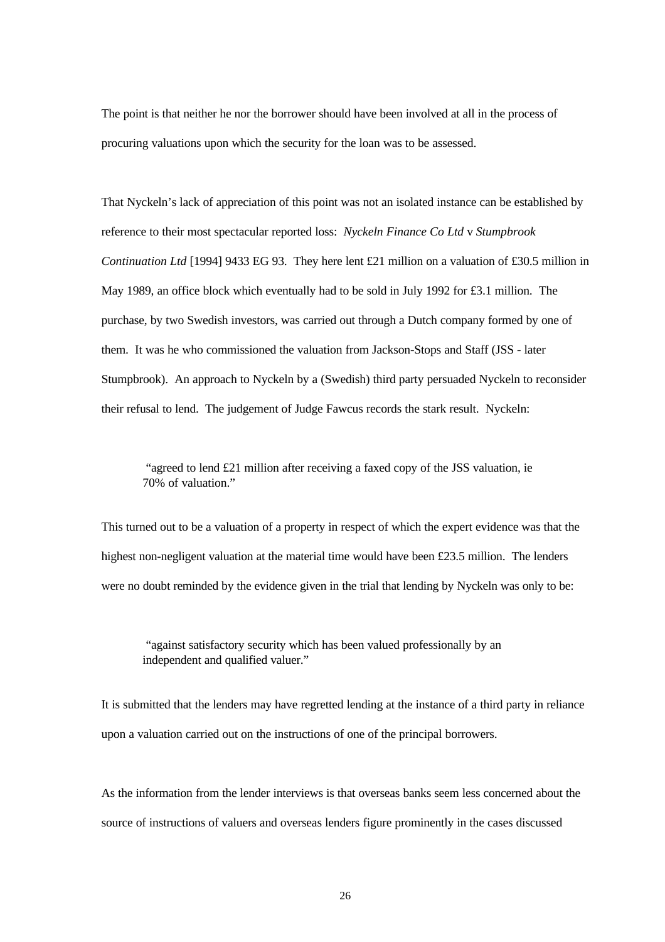The point is that neither he nor the borrower should have been involved at all in the process of procuring valuations upon which the security for the loan was to be assessed.

That Nyckeln's lack of appreciation of this point was not an isolated instance can be established by reference to their most spectacular reported loss: *Nyckeln Finance Co Ltd* v *Stumpbrook Continuation Ltd* [1994] 9433 EG 93. They here lent £21 million on a valuation of £30.5 million in May 1989, an office block which eventually had to be sold in July 1992 for £3.1 million. The purchase, by two Swedish investors, was carried out through a Dutch company formed by one of them. It was he who commissioned the valuation from Jackson-Stops and Staff (JSS - later Stumpbrook). An approach to Nyckeln by a (Swedish) third party persuaded Nyckeln to reconsider their refusal to lend. The judgement of Judge Fawcus records the stark result. Nyckeln:

 "agreed to lend £21 million after receiving a faxed copy of the JSS valuation, ie 70% of valuation."

This turned out to be a valuation of a property in respect of which the expert evidence was that the highest non-negligent valuation at the material time would have been £23.5 million. The lenders were no doubt reminded by the evidence given in the trial that lending by Nyckeln was only to be:

 "against satisfactory security which has been valued professionally by an independent and qualified valuer."

It is submitted that the lenders may have regretted lending at the instance of a third party in reliance upon a valuation carried out on the instructions of one of the principal borrowers.

As the information from the lender interviews is that overseas banks seem less concerned about the source of instructions of valuers and overseas lenders figure prominently in the cases discussed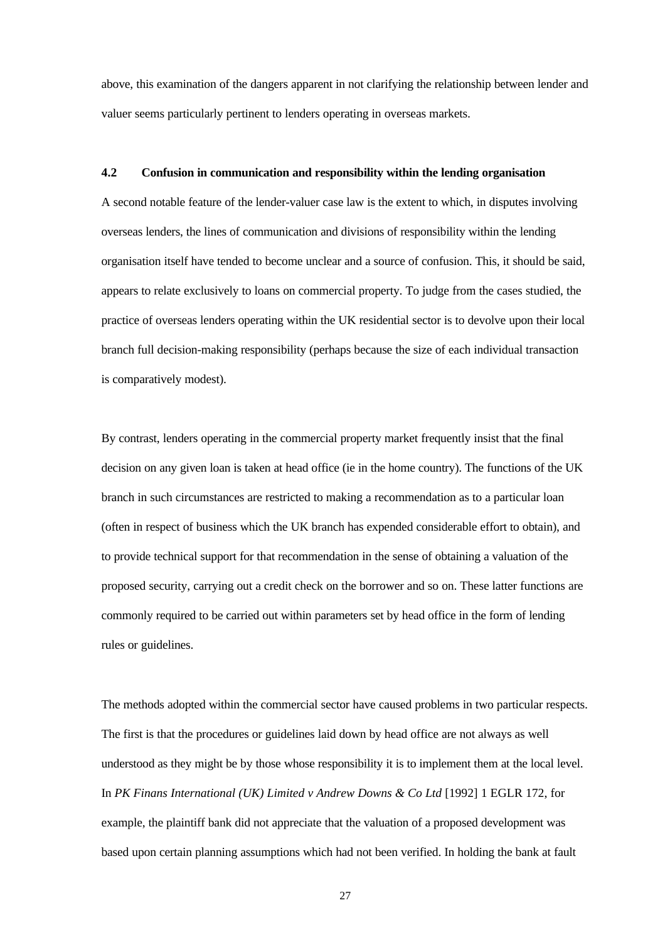above, this examination of the dangers apparent in not clarifying the relationship between lender and valuer seems particularly pertinent to lenders operating in overseas markets.

#### **4.2 Confusion in communication and responsibility within the lending organisation**

A second notable feature of the lender-valuer case law is the extent to which, in disputes involving overseas lenders, the lines of communication and divisions of responsibility within the lending organisation itself have tended to become unclear and a source of confusion. This, it should be said, appears to relate exclusively to loans on commercial property. To judge from the cases studied, the practice of overseas lenders operating within the UK residential sector is to devolve upon their local branch full decision-making responsibility (perhaps because the size of each individual transaction is comparatively modest).

By contrast, lenders operating in the commercial property market frequently insist that the final decision on any given loan is taken at head office (ie in the home country). The functions of the UK branch in such circumstances are restricted to making a recommendation as to a particular loan (often in respect of business which the UK branch has expended considerable effort to obtain), and to provide technical support for that recommendation in the sense of obtaining a valuation of the proposed security, carrying out a credit check on the borrower and so on. These latter functions are commonly required to be carried out within parameters set by head office in the form of lending rules or guidelines.

The methods adopted within the commercial sector have caused problems in two particular respects. The first is that the procedures or guidelines laid down by head office are not always as well understood as they might be by those whose responsibility it is to implement them at the local level. In *PK Finans International (UK) Limited v Andrew Downs & Co Ltd* [1992] 1 EGLR 172, for example, the plaintiff bank did not appreciate that the valuation of a proposed development was based upon certain planning assumptions which had not been verified. In holding the bank at fault

27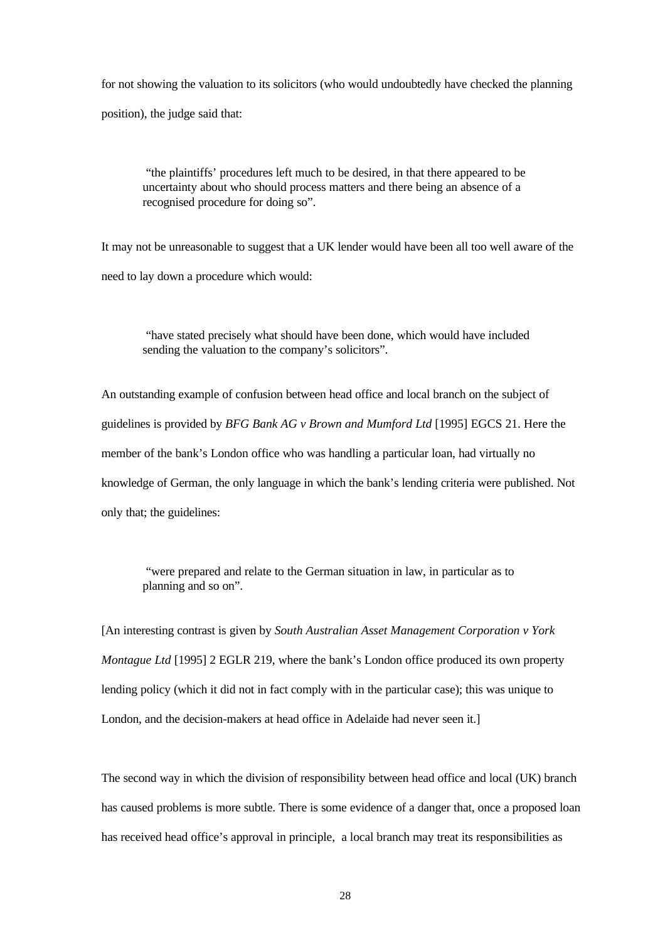for not showing the valuation to its solicitors (who would undoubtedly have checked the planning position), the judge said that:

 "the plaintiffs' procedures left much to be desired, in that there appeared to be uncertainty about who should process matters and there being an absence of a recognised procedure for doing so".

It may not be unreasonable to suggest that a UK lender would have been all too well aware of the need to lay down a procedure which would:

 "have stated precisely what should have been done, which would have included sending the valuation to the company's solicitors".

An outstanding example of confusion between head office and local branch on the subject of guidelines is provided by *BFG Bank AG v Brown and Mumford Ltd* [1995] EGCS 21. Here the member of the bank's London office who was handling a particular loan, had virtually no knowledge of German, the only language in which the bank's lending criteria were published. Not only that; the guidelines:

 "were prepared and relate to the German situation in law, in particular as to planning and so on".

[An interesting contrast is given by *South Australian Asset Management Corporation v York Montague Ltd* [1995] 2 EGLR 219, where the bank's London office produced its own property lending policy (which it did not in fact comply with in the particular case); this was unique to London, and the decision-makers at head office in Adelaide had never seen it.]

The second way in which the division of responsibility between head office and local (UK) branch has caused problems is more subtle. There is some evidence of a danger that, once a proposed loan has received head office's approval in principle, a local branch may treat its responsibilities as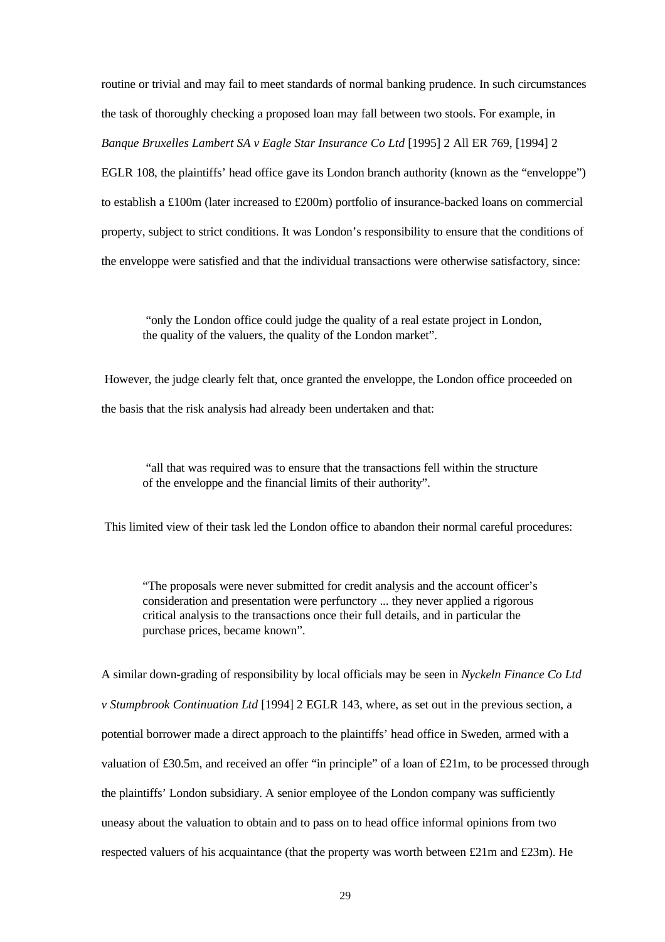routine or trivial and may fail to meet standards of normal banking prudence. In such circumstances the task of thoroughly checking a proposed loan may fall between two stools. For example, in *Banque Bruxelles Lambert SA v Eagle Star Insurance Co Ltd* [1995] 2 All ER 769, [1994] 2

EGLR 108, the plaintiffs' head office gave its London branch authority (known as the "enveloppe") to establish a £100m (later increased to £200m) portfolio of insurance-backed loans on commercial property, subject to strict conditions. It was London's responsibility to ensure that the conditions of the enveloppe were satisfied and that the individual transactions were otherwise satisfactory, since:

 "only the London office could judge the quality of a real estate project in London, the quality of the valuers, the quality of the London market".

 However, the judge clearly felt that, once granted the enveloppe, the London office proceeded on the basis that the risk analysis had already been undertaken and that:

 "all that was required was to ensure that the transactions fell within the structure of the enveloppe and the financial limits of their authority".

This limited view of their task led the London office to abandon their normal careful procedures:

"The proposals were never submitted for credit analysis and the account officer's consideration and presentation were perfunctory ... they never applied a rigorous critical analysis to the transactions once their full details, and in particular the purchase prices, became known".

A similar down-grading of responsibility by local officials may be seen in *Nyckeln Finance Co Ltd v Stumpbrook Continuation Ltd* [1994] 2 EGLR 143, where, as set out in the previous section, a potential borrower made a direct approach to the plaintiffs' head office in Sweden, armed with a valuation of £30.5m, and received an offer "in principle" of a loan of £21m, to be processed through the plaintiffs' London subsidiary. A senior employee of the London company was sufficiently uneasy about the valuation to obtain and to pass on to head office informal opinions from two respected valuers of his acquaintance (that the property was worth between £21m and £23m). He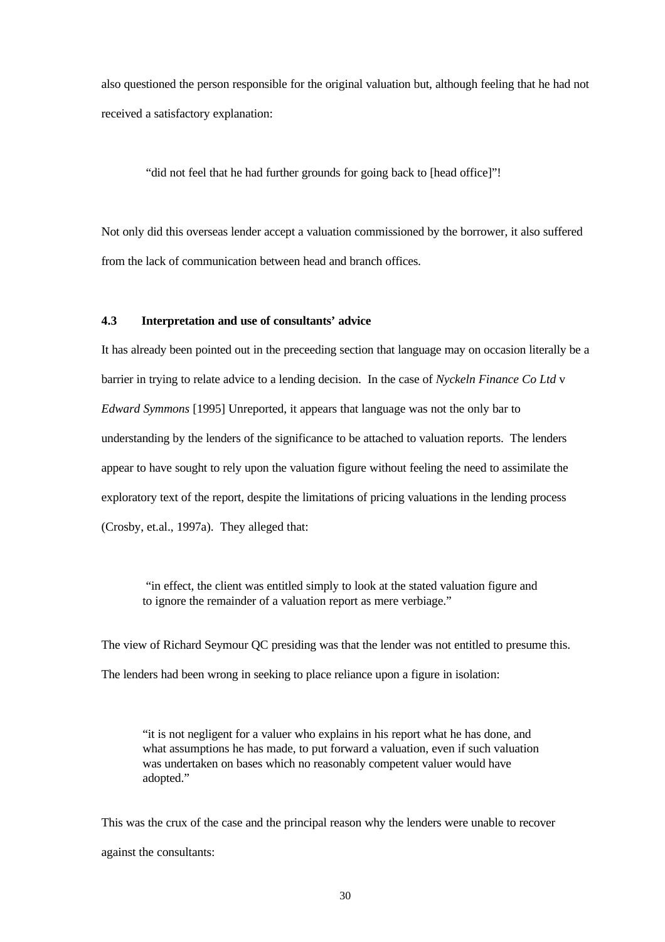also questioned the person responsible for the original valuation but, although feeling that he had not received a satisfactory explanation:

"did not feel that he had further grounds for going back to [head office]"!

Not only did this overseas lender accept a valuation commissioned by the borrower, it also suffered from the lack of communication between head and branch offices.

### **4.3 Interpretation and use of consultants' advice**

It has already been pointed out in the preceeding section that language may on occasion literally be a barrier in trying to relate advice to a lending decision. In the case of *Nyckeln Finance Co Ltd* v *Edward Symmons* [1995] Unreported, it appears that language was not the only bar to understanding by the lenders of the significance to be attached to valuation reports. The lenders appear to have sought to rely upon the valuation figure without feeling the need to assimilate the exploratory text of the report, despite the limitations of pricing valuations in the lending process (Crosby, et.al., 1997a). They alleged that:

 "in effect, the client was entitled simply to look at the stated valuation figure and to ignore the remainder of a valuation report as mere verbiage."

The view of Richard Seymour QC presiding was that the lender was not entitled to presume this. The lenders had been wrong in seeking to place reliance upon a figure in isolation:

"it is not negligent for a valuer who explains in his report what he has done, and what assumptions he has made, to put forward a valuation, even if such valuation was undertaken on bases which no reasonably competent valuer would have adopted."

This was the crux of the case and the principal reason why the lenders were unable to recover against the consultants: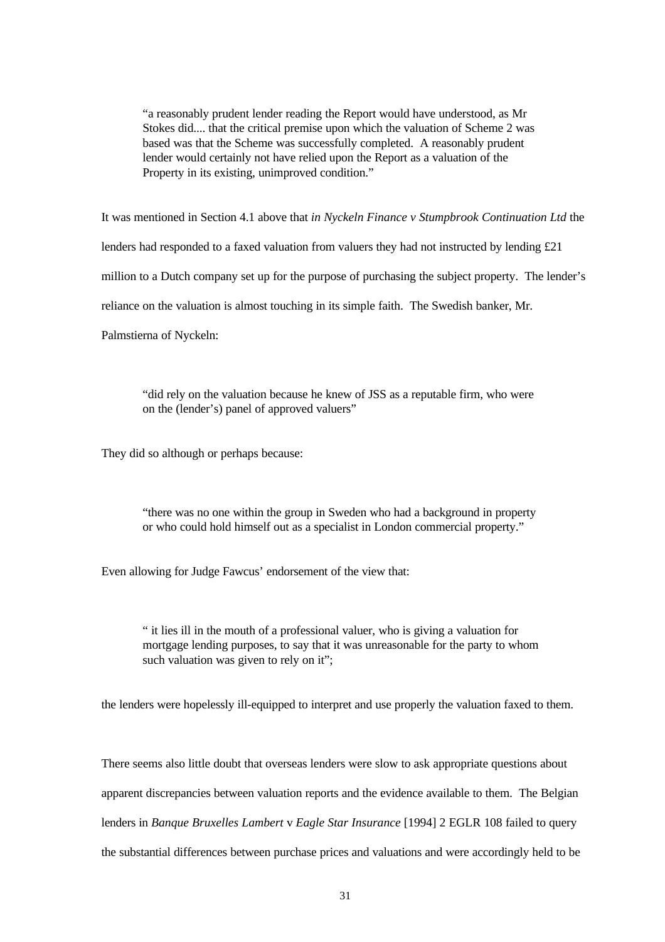"a reasonably prudent lender reading the Report would have understood, as Mr Stokes did.... that the critical premise upon which the valuation of Scheme 2 was based was that the Scheme was successfully completed. A reasonably prudent lender would certainly not have relied upon the Report as a valuation of the Property in its existing, unimproved condition."

It was mentioned in Section 4.1 above that *in Nyckeln Finance v Stumpbrook Continuation Ltd* the lenders had responded to a faxed valuation from valuers they had not instructed by lending  $\text{\pounds}21$ million to a Dutch company set up for the purpose of purchasing the subject property. The lender's reliance on the valuation is almost touching in its simple faith. The Swedish banker, Mr. Palmstierna of Nyckeln:

"did rely on the valuation because he knew of JSS as a reputable firm, who were on the (lender's) panel of approved valuers"

They did so although or perhaps because:

"there was no one within the group in Sweden who had a background in property or who could hold himself out as a specialist in London commercial property."

Even allowing for Judge Fawcus' endorsement of the view that:

" it lies ill in the mouth of a professional valuer, who is giving a valuation for mortgage lending purposes, to say that it was unreasonable for the party to whom such valuation was given to rely on it";

the lenders were hopelessly ill-equipped to interpret and use properly the valuation faxed to them.

There seems also little doubt that overseas lenders were slow to ask appropriate questions about apparent discrepancies between valuation reports and the evidence available to them. The Belgian lenders in *Banque Bruxelles Lambert* v *Eagle Star Insurance* [1994] 2 EGLR 108 failed to query the substantial differences between purchase prices and valuations and were accordingly held to be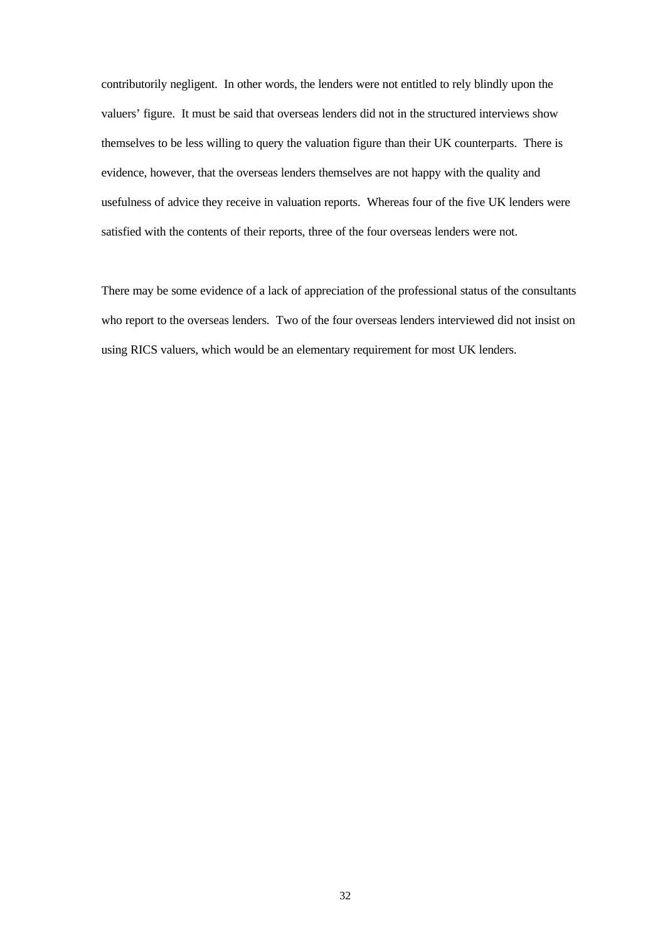contributorily negligent. In other words, the lenders were not entitled to rely blindly upon the valuers' figure. It must be said that overseas lenders did not in the structured interviews show themselves to be less willing to query the valuation figure than their UK counterparts. There is evidence, however, that the overseas lenders themselves are not happy with the quality and usefulness of advice they receive in valuation reports. Whereas four of the five UK lenders were satisfied with the contents of their reports, three of the four overseas lenders were not.

There may be some evidence of a lack of appreciation of the professional status of the consultants who report to the overseas lenders. Two of the four overseas lenders interviewed did not insist on using RICS valuers, which would be an elementary requirement for most UK lenders.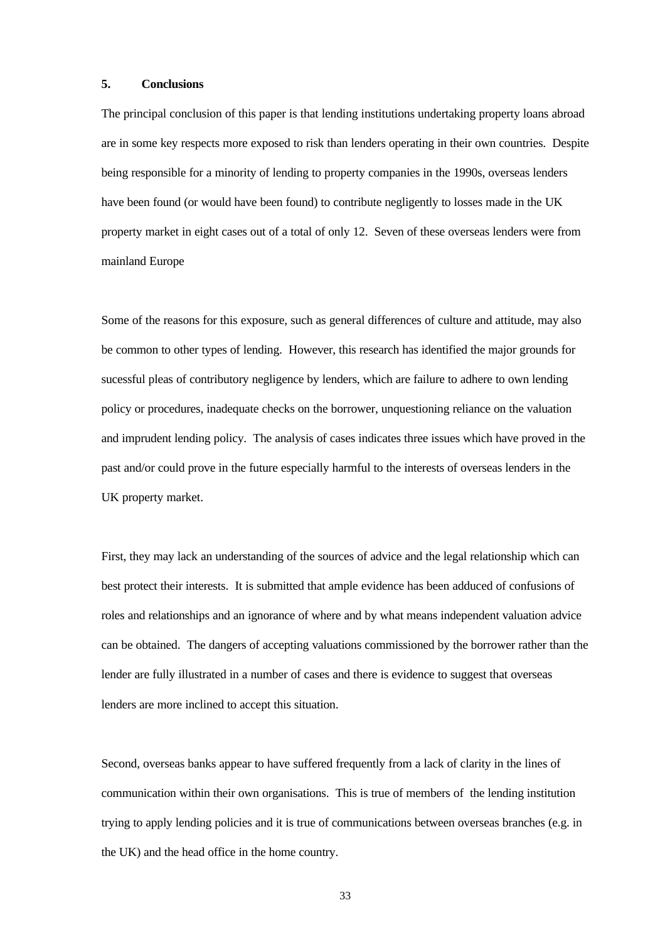#### **5. Conclusions**

The principal conclusion of this paper is that lending institutions undertaking property loans abroad are in some key respects more exposed to risk than lenders operating in their own countries. Despite being responsible for a minority of lending to property companies in the 1990s, overseas lenders have been found (or would have been found) to contribute negligently to losses made in the UK property market in eight cases out of a total of only 12. Seven of these overseas lenders were from mainland Europe

Some of the reasons for this exposure, such as general differences of culture and attitude, may also be common to other types of lending. However, this research has identified the major grounds for sucessful pleas of contributory negligence by lenders, which are failure to adhere to own lending policy or procedures, inadequate checks on the borrower, unquestioning reliance on the valuation and imprudent lending policy. The analysis of cases indicates three issues which have proved in the past and/or could prove in the future especially harmful to the interests of overseas lenders in the UK property market.

First, they may lack an understanding of the sources of advice and the legal relationship which can best protect their interests. It is submitted that ample evidence has been adduced of confusions of roles and relationships and an ignorance of where and by what means independent valuation advice can be obtained. The dangers of accepting valuations commissioned by the borrower rather than the lender are fully illustrated in a number of cases and there is evidence to suggest that overseas lenders are more inclined to accept this situation.

Second, overseas banks appear to have suffered frequently from a lack of clarity in the lines of communication within their own organisations. This is true of members of the lending institution trying to apply lending policies and it is true of communications between overseas branches (e.g. in the UK) and the head office in the home country.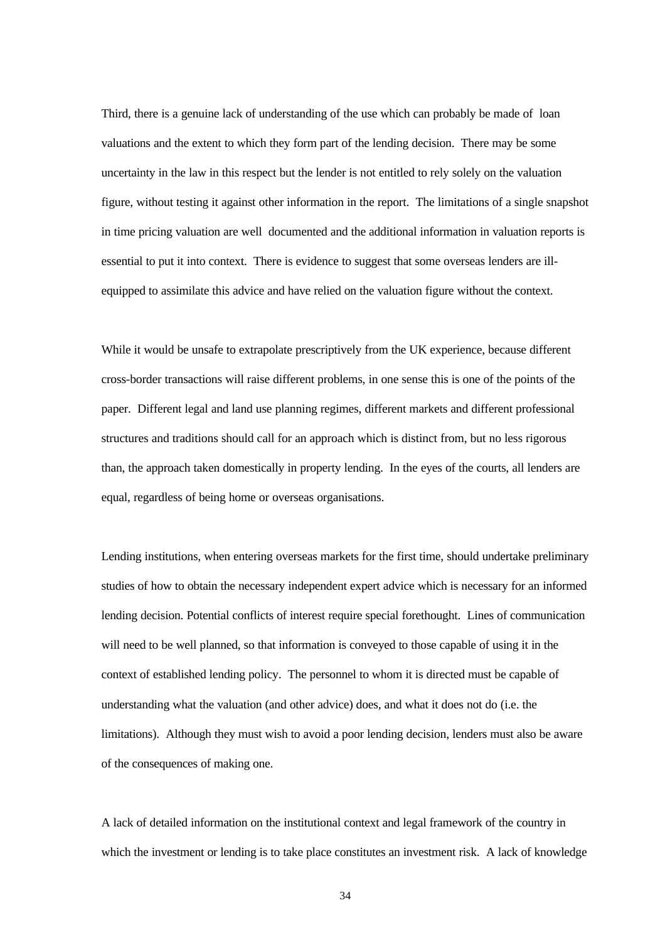Third, there is a genuine lack of understanding of the use which can probably be made of loan valuations and the extent to which they form part of the lending decision. There may be some uncertainty in the law in this respect but the lender is not entitled to rely solely on the valuation figure, without testing it against other information in the report. The limitations of a single snapshot in time pricing valuation are well documented and the additional information in valuation reports is essential to put it into context. There is evidence to suggest that some overseas lenders are illequipped to assimilate this advice and have relied on the valuation figure without the context.

While it would be unsafe to extrapolate prescriptively from the UK experience, because different cross-border transactions will raise different problems, in one sense this is one of the points of the paper. Different legal and land use planning regimes, different markets and different professional structures and traditions should call for an approach which is distinct from, but no less rigorous than, the approach taken domestically in property lending. In the eyes of the courts, all lenders are equal, regardless of being home or overseas organisations.

Lending institutions, when entering overseas markets for the first time, should undertake preliminary studies of how to obtain the necessary independent expert advice which is necessary for an informed lending decision. Potential conflicts of interest require special forethought. Lines of communication will need to be well planned, so that information is conveyed to those capable of using it in the context of established lending policy. The personnel to whom it is directed must be capable of understanding what the valuation (and other advice) does, and what it does not do (i.e. the limitations). Although they must wish to avoid a poor lending decision, lenders must also be aware of the consequences of making one.

A lack of detailed information on the institutional context and legal framework of the country in which the investment or lending is to take place constitutes an investment risk. A lack of knowledge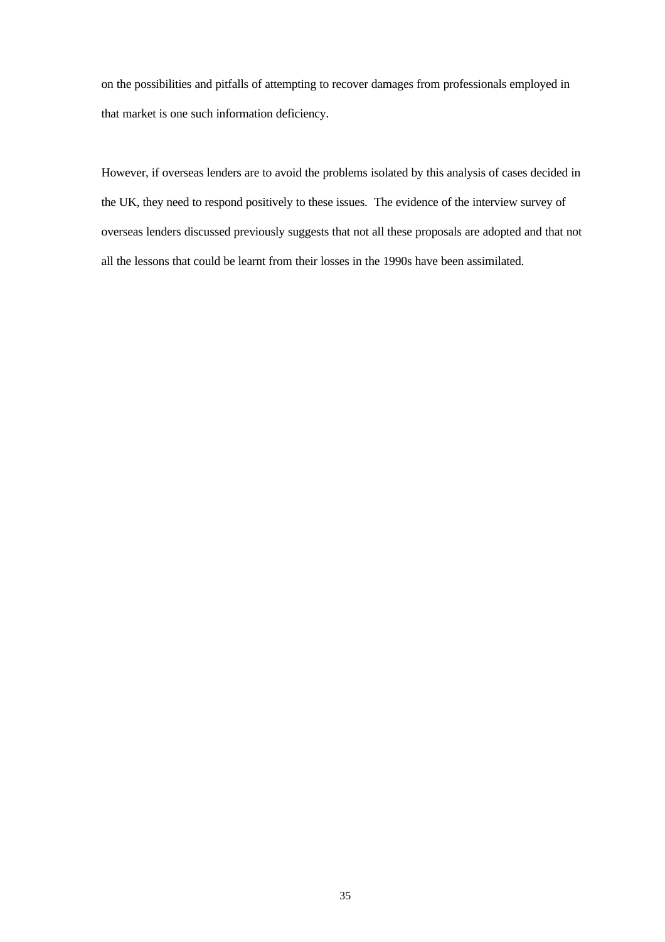on the possibilities and pitfalls of attempting to recover damages from professionals employed in that market is one such information deficiency.

However, if overseas lenders are to avoid the problems isolated by this analysis of cases decided in the UK, they need to respond positively to these issues. The evidence of the interview survey of overseas lenders discussed previously suggests that not all these proposals are adopted and that not all the lessons that could be learnt from their losses in the 1990s have been assimilated.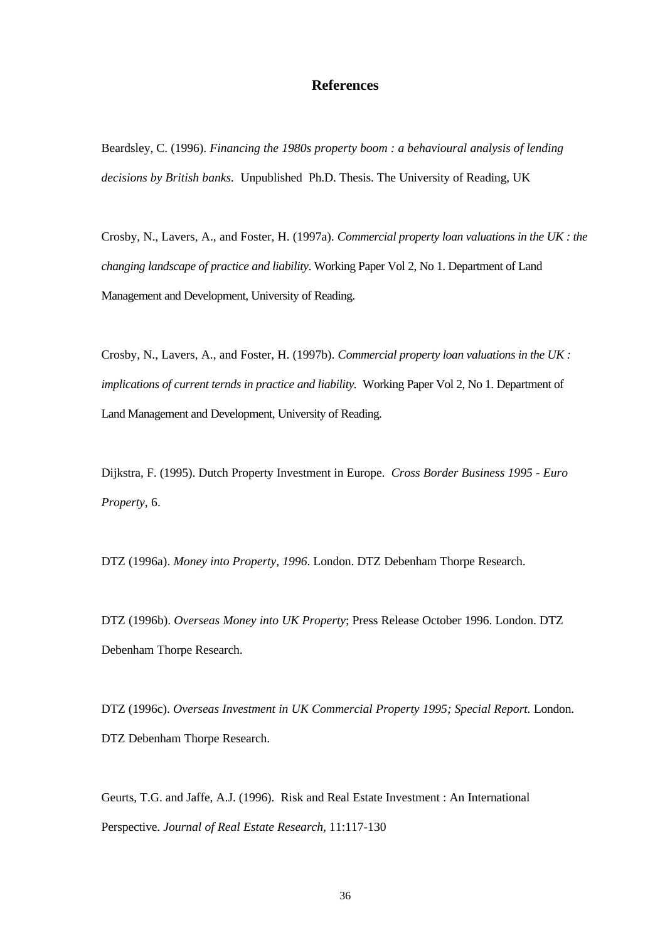# **References**

Beardsley, C. (1996). *Financing the 1980s property boom : a behavioural analysis of lending decisions by British banks.* Unpublished Ph.D. Thesis. The University of Reading, UK

Crosby, N., Lavers, A., and Foster, H. (1997a). *Commercial property loan valuations in the UK : the changing landscape of practice and liability*. Working Paper Vol 2, No 1. Department of Land Management and Development, University of Reading.

Crosby, N., Lavers, A., and Foster, H. (1997b). *Commercial property loan valuations in the UK : implications of current ternds in practice and liability.* Working Paper Vol 2, No 1. Department of Land Management and Development, University of Reading.

Dijkstra, F. (1995). Dutch Property Investment in Europe. *Cross Border Business 1995 - Euro Property*, 6.

DTZ (1996a). *Money into Property, 1996*. London. DTZ Debenham Thorpe Research.

DTZ (1996b). *Overseas Money into UK Property*; Press Release October 1996. London. DTZ Debenham Thorpe Research.

DTZ (1996c). *Overseas Investment in UK Commercial Property 1995; Special Report.* London. DTZ Debenham Thorpe Research.

Geurts, T.G. and Jaffe, A.J. (1996). Risk and Real Estate Investment : An International Perspective. *Journal of Real Estate Research*, 11:117-130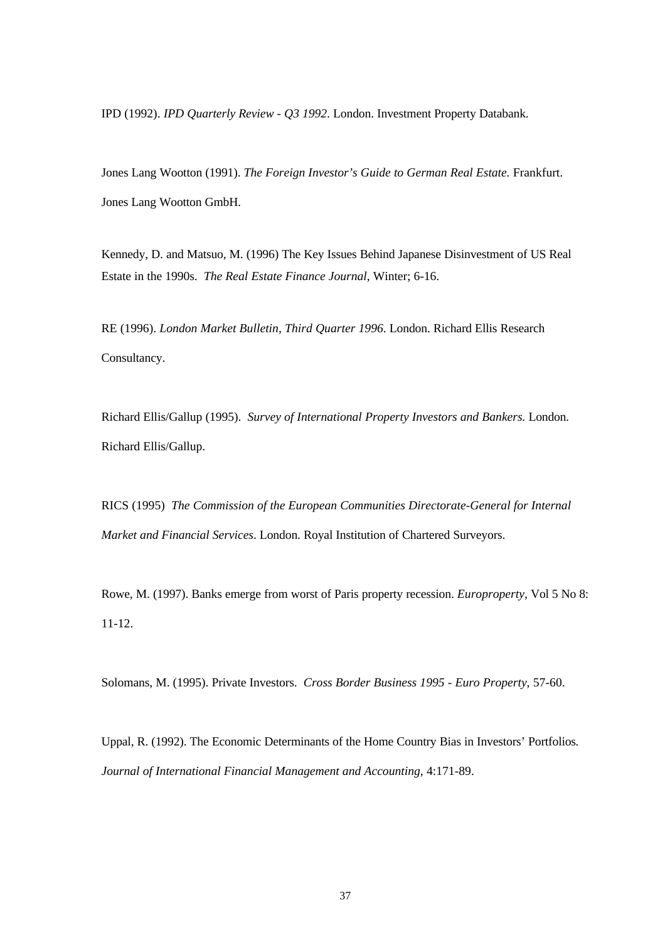IPD (1992). *IPD Quarterly Review - Q3 1992*. London. Investment Property Databank.

Jones Lang Wootton (1991). *The Foreign Investor's Guide to German Real Estate.* Frankfurt. Jones Lang Wootton GmbH.

Kennedy, D. and Matsuo, M. (1996) The Key Issues Behind Japanese Disinvestment of US Real Estate in the 1990s. *The Real Estate Finance Journal*, Winter; 6-16.

RE (1996). *London Market Bulletin, Third Quarter 1996*. London. Richard Ellis Research Consultancy.

Richard Ellis/Gallup (1995). *Survey of International Property Investors and Bankers.* London. Richard Ellis/Gallup.

RICS (1995) *The Commission of the European Communities Directorate-General for Internal Market and Financial Services*. London. Royal Institution of Chartered Surveyors.

Rowe, M. (1997). Banks emerge from worst of Paris property recession. *Europroperty,* Vol 5 No 8: 11-12.

Solomans, M. (1995). Private Investors. *Cross Border Business 1995 - Euro Property*, 57-60.

Uppal, R. (1992). The Economic Determinants of the Home Country Bias in Investors' Portfolios*. Journal of International Financial Management and Accounting*, 4:171-89.